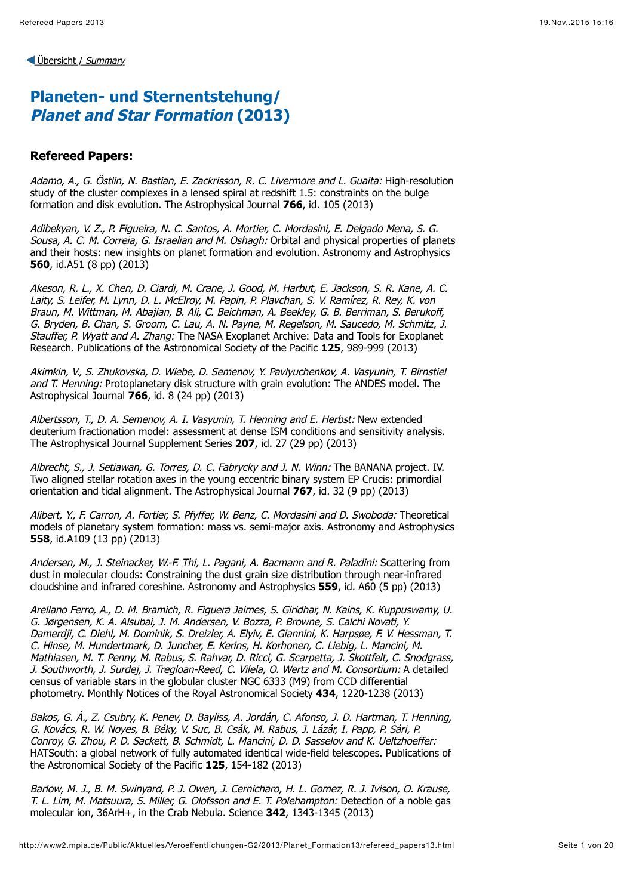# **Planeten- und Sternentstehung/ Planet and Star Formation (2013)**

#### **Refereed Papers:**

Adamo, A., G. Östlin, N. Bastian, E. Zackrisson, R. C. Livermore and L. Guaita: High-resolution study of the cluster complexes in a lensed spiral at redshift 1.5: constraints on the bulge formation and disk evolution. The Astrophysical Journal **766**, id. 105 (2013)

Adibekyan, V. Z., P. Figueira, N. C. Santos, A. Mortier, C. Mordasini, E. Delgado Mena, S. G. Sousa, A. C. M. Correia, G. Israelian and M. Oshagh: Orbital and physical properties of planets and their hosts: new insights on planet formation and evolution. Astronomy and Astrophysics **560**, id.A51 (8 pp) (2013)

Akeson, R. L., X. Chen, D. Ciardi, M. Crane, J. Good, M. Harbut, E. Jackson, S. R. Kane, A. C. Laity, S. Leifer, M. Lynn, D. L. McElroy, M. Papin, P. Plavchan, S. V. Ramírez, R. Rey, K. von Braun, M. Wittman, M. Abajian, B. Ali, C. Beichman, A. Beekley, G. B. Berriman, S. Berukoff, G. Bryden, B. Chan, S. Groom, C. Lau, A. N. Payne, M. Regelson, M. Saucedo, M. Schmitz, J. Stauffer, P. Wyatt and A. Zhang: The NASA Exoplanet Archive: Data and Tools for Exoplanet Research. Publications of the Astronomical Society of the Pacific **125**, 989-999 (2013)

Akimkin, V., S. Zhukovska, D. Wiebe, D. Semenov, Y. Pavlyuchenkov, A. Vasyunin, T. Birnstiel and T. Henning: Protoplanetary disk structure with grain evolution: The ANDES model. The Astrophysical Journal **766**, id. 8 (24 pp) (2013)

Albertsson, T., D. A. Semenov, A. I. Vasyunin, T. Henning and E. Herbst: New extended deuterium fractionation model: assessment at dense ISM conditions and sensitivity analysis. The Astrophysical Journal Supplement Series **207**, id. 27 (29 pp) (2013)

Albrecht, S., J. Setiawan, G. Torres, D. C. Fabrycky and J. N. Winn: The BANANA project. IV. Two aligned stellar rotation axes in the young eccentric binary system EP Crucis: primordial orientation and tidal alignment. The Astrophysical Journal **767**, id. 32 (9 pp) (2013)

Alibert, Y., F. Carron, A. Fortier, S. Pfyffer, W. Benz, C. Mordasini and D. Swoboda: Theoretical models of planetary system formation: mass vs. semi-major axis. Astronomy and Astrophysics **558**, id.A109 (13 pp) (2013)

Andersen, M., J. Steinacker, W.-F. Thi, L. Pagani, A. Bacmann and R. Paladini: Scattering from dust in molecular clouds: Constraining the dust grain size distribution through near-infrared cloudshine and infrared coreshine. Astronomy and Astrophysics **559**, id. A60 (5 pp) (2013)

Arellano Ferro, A., D. M. Bramich, R. Figuera Jaimes, S. Giridhar, N. Kains, K. Kuppuswamy, U. G. Jørgensen, K. A. Alsubai, J. M. Andersen, V. Bozza, P. Browne, S. Calchi Novati, Y. Damerdji, C. Diehl, M. Dominik, S. Dreizler, A. Elyiv, E. Giannini, K. Harpsøe, F. V. Hessman, T. C. Hinse, M. Hundertmark, D. Juncher, E. Kerins, H. Korhonen, C. Liebig, L. Mancini, M. Mathiasen, M. T. Penny, M. Rabus, S. Rahvar, D. Ricci, G. Scarpetta, J. Skottfelt, C. Snodgrass, J. Southworth, J. Surdej, J. Tregloan-Reed, C. Vilela, O. Wertz and M. Consortium: A detailed census of variable stars in the globular cluster NGC 6333 (M9) from CCD differential photometry. Monthly Notices of the Royal Astronomical Society **434**, 1220-1238 (2013)

Bakos, G. Á., Z. Csubry, K. Penev, D. Bayliss, A. Jordán, C. Afonso, J. D. Hartman, T. Henning, G. Kovács, R. W. Noyes, B. Béky, V. Suc, B. Csák, M. Rabus, J. Lázár, I. Papp, P. Sári, P. Conroy, G. Zhou, P. D. Sackett, B. Schmidt, L. Mancini, D. D. Sasselov and K. Ueltzhoeffer: HATSouth: a global network of fully automated identical wide-field telescopes. Publications of the Astronomical Society of the Pacific **125**, 154-182 (2013)

Barlow, M. J., B. M. Swinyard, P. J. Owen, J. Cernicharo, H. L. Gomez, R. J. Ivison, O. Krause, T. L. Lim, M. Matsuura, S. Miller, G. Olofsson and E. T. Polehampton: Detection of a noble gas molecular ion, 36ArH+, in the Crab Nebula. Science **342**, 1343-1345 (2013)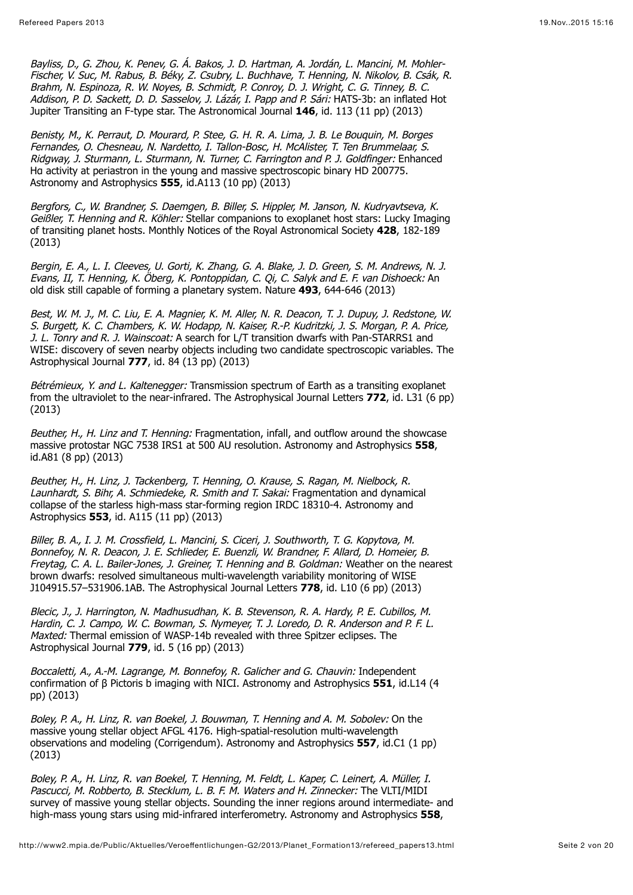Bayliss, D., G. Zhou, K. Penev, G. Á. Bakos, J. D. Hartman, A. Jordán, L. Mancini, M. Mohler-Fischer, V. Suc, M. Rabus, B. Béky, Z. Csubry, L. Buchhave, T. Henning, N. Nikolov, B. Csák, R. Brahm, N. Espinoza, R. W. Noyes, B. Schmidt, P. Conroy, D. J. Wright, C. G. Tinney, B. C. Addison, P. D. Sackett, D. D. Sasselov, J. Lázár, I. Papp and P. Sári: HATS-3b: an inflated Hot Jupiter Transiting an F-type star. The Astronomical Journal **146**, id. 113 (11 pp) (2013)

Benisty, M., K. Perraut, D. Mourard, P. Stee, G. H. R. A. Lima, J. B. Le Bouquin, M. Borges Fernandes, O. Chesneau, N. Nardetto, I. Tallon-Bosc, H. McAlister, T. Ten Brummelaar, S. Ridgway, J. Sturmann, L. Sturmann, N. Turner, C. Farrington and P. J. Goldfinger: Enhanced Ha activity at periastron in the young and massive spectroscopic binary HD 200775. Astronomy and Astrophysics **555**, id.A113 (10 pp) (2013)

Bergfors, C., W. Brandner, S. Daemgen, B. Biller, S. Hippler, M. Janson, N. Kudryavtseva, K. Geißler, T. Henning and R. Köhler: Stellar companions to exoplanet host stars: Lucky Imaging of transiting planet hosts. Monthly Notices of the Royal Astronomical Society **428**, 182-189 (2013)

Bergin, E. A., L. I. Cleeves, U. Gorti, K. Zhang, G. A. Blake, J. D. Green, S. M. Andrews, N. J. Evans, II, T. Henning, K. Öberg, K. Pontoppidan, C. Qi, C. Salyk and E. F. van Dishoeck: An old disk still capable of forming a planetary system. Nature **493**, 644-646 (2013)

Best, W. M. J., M. C. Liu, E. A. Magnier, K. M. Aller, N. R. Deacon, T. J. Dupuy, J. Redstone, W. S. Burgett, K. C. Chambers, K. W. Hodapp, N. Kaiser, R.-P. Kudritzki, J. S. Morgan, P. A. Price, J. L. Tonry and R. J. Wainscoat: A search for L/T transition dwarfs with Pan-STARRS1 and WISE: discovery of seven nearby objects including two candidate spectroscopic variables. The Astrophysical Journal **777**, id. 84 (13 pp) (2013)

Bétrémieux, Y. and L. Kaltenegger: Transmission spectrum of Earth as a transiting exoplanet from the ultraviolet to the near-infrared. The Astrophysical Journal Letters **772**, id. L31 (6 pp) (2013)

Beuther, H., H. Linz and T. Henning: Fragmentation, infall, and outflow around the showcase massive protostar NGC 7538 IRS1 at 500 AU resolution. Astronomy and Astrophysics **558**, id.A81 (8 pp) (2013)

Beuther, H., H. Linz, J. Tackenberg, T. Henning, O. Krause, S. Ragan, M. Nielbock, R. Launhardt, S. Bihr, A. Schmiedeke, R. Smith and T. Sakai: Fragmentation and dynamical collapse of the starless high-mass star-forming region IRDC 18310-4. Astronomy and Astrophysics **553**, id. A115 (11 pp) (2013)

Biller, B. A., I. J. M. Crossfield, L. Mancini, S. Ciceri, J. Southworth, T. G. Kopytova, M. Bonnefoy, N. R. Deacon, J. E. Schlieder, E. Buenzli, W. Brandner, F. Allard, D. Homeier, B. Freytag, C. A. L. Bailer-Jones, J. Greiner, T. Henning and B. Goldman: Weather on the nearest brown dwarfs: resolved simultaneous multi-wavelength variability monitoring of WISE J104915.57–531906.1AB. The Astrophysical Journal Letters **778**, id. L10 (6 pp) (2013)

Blecic, J., J. Harrington, N. Madhusudhan, K. B. Stevenson, R. A. Hardy, P. E. Cubillos, M. Hardin, C. J. Campo, W. C. Bowman, S. Nymeyer, T. J. Loredo, D. R. Anderson and P. F. L. Maxted: Thermal emission of WASP-14b revealed with three Spitzer eclipses. The Astrophysical Journal **779**, id. 5 (16 pp) (2013)

Boccaletti, A., A.-M. Lagrange, M. Bonnefoy, R. Galicher and G. Chauvin: Independent confirmation of β Pictoris b imaging with NICI. Astronomy and Astrophysics **551**, id.L14 (4 pp) (2013)

Boley, P. A., H. Linz, R. van Boekel, J. Bouwman, T. Henning and A. M. Sobolev: On the massive young stellar object AFGL 4176. High-spatial-resolution multi-wavelength observations and modeling (Corrigendum). Astronomy and Astrophysics **557**, id.C1 (1 pp) (2013)

Boley, P. A., H. Linz, R. van Boekel, T. Henning, M. Feldt, L. Kaper, C. Leinert, A. Müller, I. Pascucci, M. Robberto, B. Stecklum, L. B. F. M. Waters and H. Zinnecker: The VLTI/MIDI survey of massive young stellar objects. Sounding the inner regions around intermediate- and high-mass young stars using mid-infrared interferometry. Astronomy and Astrophysics **558**,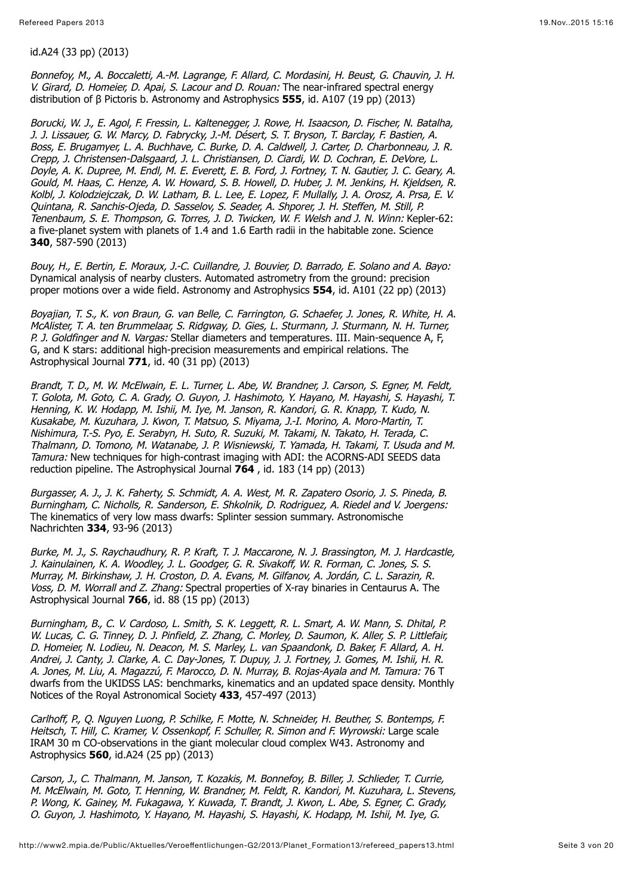id.A24 (33 pp) (2013)

Bonnefoy, M., A. Boccaletti, A.-M. Lagrange, F. Allard, C. Mordasini, H. Beust, G. Chauvin, J. H. V. Girard, D. Homeier, D. Apai, S. Lacour and D. Rouan: The near-infrared spectral energy distribution of β Pictoris b. Astronomy and Astrophysics **555**, id. A107 (19 pp) (2013)

Borucki, W. J., E. Agol, F. Fressin, L. Kaltenegger, J. Rowe, H. Isaacson, D. Fischer, N. Batalha, J. J. Lissauer, G. W. Marcy, D. Fabrycky, J.-M. Désert, S. T. Bryson, T. Barclay, F. Bastien, A. Boss, E. Brugamyer, L. A. Buchhave, C. Burke, D. A. Caldwell, J. Carter, D. Charbonneau, J. R. Crepp, J. Christensen-Dalsgaard, J. L. Christiansen, D. Ciardi, W. D. Cochran, E. DeVore, L. Doyle, A. K. Dupree, M. Endl, M. E. Everett, E. B. Ford, J. Fortney, T. N. Gautier, J. C. Geary, A. Gould, M. Haas, C. Henze, A. W. Howard, S. B. Howell, D. Huber, J. M. Jenkins, H. Kjeldsen, R. Kolbl, J. Kolodziejczak, D. W. Latham, B. L. Lee, E. Lopez, F. Mullally, J. A. Orosz, A. Prsa, E. V. Quintana, R. Sanchis-Ojeda, D. Sasselov, S. Seader, A. Shporer, J. H. Steffen, M. Still, P. Tenenbaum, S. E. Thompson, G. Torres, J. D. Twicken, W. F. Welsh and J. N. Winn: Kepler-62: a five-planet system with planets of 1.4 and 1.6 Earth radii in the habitable zone. Science **340**, 587-590 (2013)

Bouy, H., E. Bertin, E. Moraux, J.-C. Cuillandre, J. Bouvier, D. Barrado, E. Solano and A. Bayo: Dynamical analysis of nearby clusters. Automated astrometry from the ground: precision proper motions over a wide field. Astronomy and Astrophysics **554**, id. A101 (22 pp) (2013)

Boyajian, T. S., K. von Braun, G. van Belle, C. Farrington, G. Schaefer, J. Jones, R. White, H. A. McAlister, T. A. ten Brummelaar, S. Ridgway, D. Gies, L. Sturmann, J. Sturmann, N. H. Turner, P. J. Goldfinger and N. Vargas: Stellar diameters and temperatures. III. Main-sequence A, F, G, and K stars: additional high-precision measurements and empirical relations. The Astrophysical Journal **771**, id. 40 (31 pp) (2013)

Brandt, T. D., M. W. McElwain, E. L. Turner, L. Abe, W. Brandner, J. Carson, S. Egner, M. Feldt, T. Golota, M. Goto, C. A. Grady, O. Guyon, J. Hashimoto, Y. Hayano, M. Hayashi, S. Hayashi, T. Henning, K. W. Hodapp, M. Ishii, M. Iye, M. Janson, R. Kandori, G. R. Knapp, T. Kudo, N. Kusakabe, M. Kuzuhara, J. Kwon, T. Matsuo, S. Miyama, J.-I. Morino, A. Moro-Martin, T. Nishimura, T.-S. Pyo, E. Serabyn, H. Suto, R. Suzuki, M. Takami, N. Takato, H. Terada, C. Thalmann, D. Tomono, M. Watanabe, J. P. Wisniewski, T. Yamada, H. Takami, T. Usuda and M. Tamura: New techniques for high-contrast imaging with ADI: the ACORNS-ADI SEEDS data reduction pipeline. The Astrophysical Journal **764** , id. 183 (14 pp) (2013)

Burgasser, A. J., J. K. Faherty, S. Schmidt, A. A. West, M. R. Zapatero Osorio, J. S. Pineda, B. Burningham, C. Nicholls, R. Sanderson, E. Shkolnik, D. Rodriguez, A. Riedel and V. Joergens: The kinematics of very low mass dwarfs: Splinter session summary. Astronomische Nachrichten **334**, 93-96 (2013)

Burke, M. J., S. Raychaudhury, R. P. Kraft, T. J. Maccarone, N. J. Brassington, M. J. Hardcastle, J. Kainulainen, K. A. Woodley, J. L. Goodger, G. R. Sivakoff, W. R. Forman, C. Jones, S. S. Murray, M. Birkinshaw, J. H. Croston, D. A. Evans, M. Gilfanov, A. Jordán, C. L. Sarazin, R. Voss, D. M. Worrall and Z. Zhang: Spectral properties of X-ray binaries in Centaurus A. The Astrophysical Journal **766**, id. 88 (15 pp) (2013)

Burningham, B., C. V. Cardoso, L. Smith, S. K. Leggett, R. L. Smart, A. W. Mann, S. Dhital, P. W. Lucas, C. G. Tinney, D. J. Pinfield, Z. Zhang, C. Morley, D. Saumon, K. Aller, S. P. Littlefair, D. Homeier, N. Lodieu, N. Deacon, M. S. Marley, L. van Spaandonk, D. Baker, F. Allard, A. H. Andrei, J. Canty, J. Clarke, A. C. Day-Jones, T. Dupuy, J. J. Fortney, J. Gomes, M. Ishii, H. R. A. Jones, M. Liu, A. Magazzú, F. Marocco, D. N. Murray, B. Rojas-Ayala and M. Tamura: 76 T dwarfs from the UKIDSS LAS: benchmarks, kinematics and an updated space density. Monthly Notices of the Royal Astronomical Society **433**, 457-497 (2013)

Carlhoff, P., Q. Nguyen Luong, P. Schilke, F. Motte, N. Schneider, H. Beuther, S. Bontemps, F. Heitsch, T. Hill, C. Kramer, V. Ossenkopf, F. Schuller, R. Simon and F. Wyrowski: Large scale IRAM 30 m CO-observations in the giant molecular cloud complex W43. Astronomy and Astrophysics **560**, id.A24 (25 pp) (2013)

Carson, J., C. Thalmann, M. Janson, T. Kozakis, M. Bonnefoy, B. Biller, J. Schlieder, T. Currie, M. McElwain, M. Goto, T. Henning, W. Brandner, M. Feldt, R. Kandori, M. Kuzuhara, L. Stevens, P. Wong, K. Gainey, M. Fukagawa, Y. Kuwada, T. Brandt, J. Kwon, L. Abe, S. Egner, C. Grady, O. Guyon, J. Hashimoto, Y. Hayano, M. Hayashi, S. Hayashi, K. Hodapp, M. Ishii, M. Iye, G.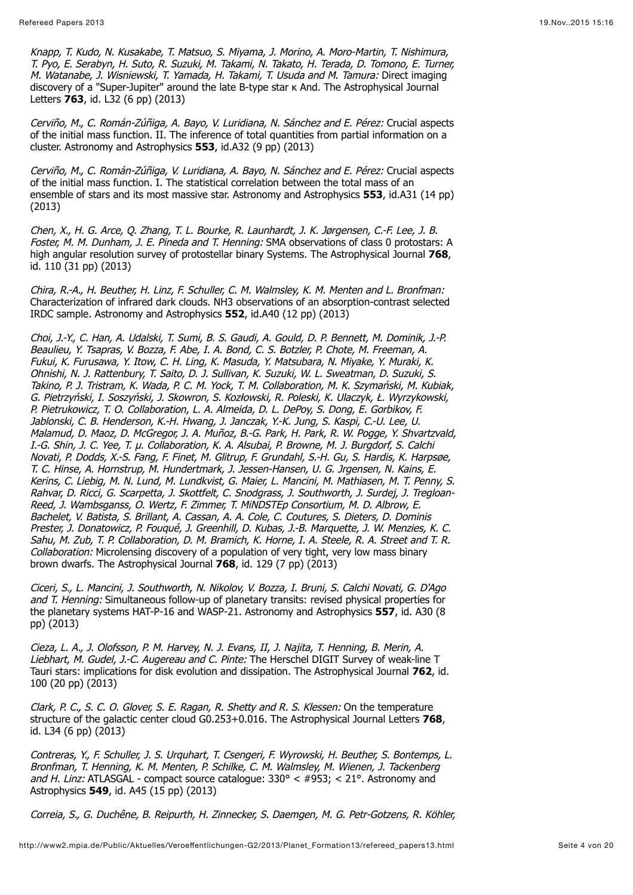Knapp, T. Kudo, N. Kusakabe, T. Matsuo, S. Miyama, J. Morino, A. Moro-Martin, T. Nishimura, T. Pyo, E. Serabyn, H. Suto, R. Suzuki, M. Takami, N. Takato, H. Terada, D. Tomono, E. Turner, M. Watanabe, J. Wisniewski, T. Yamada, H. Takami, T. Usuda and M. Tamura: Direct imaging discovery of a "Super-Jupiter" around the late B-type star ĸ And. The Astrophysical Journal Letters **763**, id. L32 (6 pp) (2013)

Cerviño, M., C. Román-Zúñiga, A. Bayo, V. Luridiana, N. Sánchez and E. Pérez: Crucial aspects of the initial mass function. II. The inference of total quantities from partial information on a cluster. Astronomy and Astrophysics **553**, id.A32 (9 pp) (2013)

Cerviño, M., C. Román-Zúñiga, V. Luridiana, A. Bayo, N. Sánchez and E. Pérez: Crucial aspects of the initial mass function. I. The statistical correlation between the total mass of an ensemble of stars and its most massive star. Astronomy and Astrophysics **553**, id.A31 (14 pp) (2013)

Chen, X., H. G. Arce, Q. Zhang, T. L. Bourke, R. Launhardt, J. K. Jørgensen, C.-F. Lee, J. B. Foster, M. M. Dunham, J. E. Pineda and T. Henning: SMA observations of class 0 protostars: A high angular resolution survey of protostellar binary Systems. The Astrophysical Journal **768**, id. 110 (31 pp) (2013)

Chira, R.-A., H. Beuther, H. Linz, F. Schuller, C. M. Walmsley, K. M. Menten and L. Bronfman: Characterization of infrared dark clouds. NH3 observations of an absorption-contrast selected IRDC sample. Astronomy and Astrophysics **552**, id.A40 (12 pp) (2013)

Choi, J.-Y., C. Han, A. Udalski, T. Sumi, B. S. Gaudi, A. Gould, D. P. Bennett, M. Dominik, J.-P. Beaulieu, Y. Tsapras, V. Bozza, F. Abe, I. A. Bond, C. S. Botzler, P. Chote, M. Freeman, A. Fukui, K. Furusawa, Y. Itow, C. H. Ling, K. Masuda, Y. Matsubara, N. Miyake, Y. Muraki, K. Ohnishi, N. J. Rattenbury, T. Saito, D. J. Sullivan, K. Suzuki, W. L. Sweatman, D. Suzuki, S. Takino, P. J. Tristram, K. Wada, P. C. M. Yock, T. M. Collaboration, M. K. Szymański, M. Kubiak, G. Pietrzyński, I. Soszyński, J. Skowron, S. Kozłowski, R. Poleski, K. Ulaczyk, Ł. Wyrzykowski, P. Pietrukowicz, T. O. Collaboration, L. A. Almeida, D. L. DePoy, S. Dong, E. Gorbikov, F. Jablonski, C. B. Henderson, K.-H. Hwang, J. Janczak, Y.-K. Jung, S. Kaspi, C.-U. Lee, U. Malamud, D. Maoz, D. McGregor, J. A. Muñoz, B.-G. Park, H. Park, R. W. Pogge, Y. Shvartzvald, I.-G. Shin, J. C. Yee, T. µ. Collaboration, K. A. Alsubai, P. Browne, M. J. Burgdorf, S. Calchi Novati, P. Dodds, X.-S. Fang, F. Finet, M. Glitrup, F. Grundahl, S.-H. Gu, S. Hardis, K. Harpsøe, T. C. Hinse, A. Hornstrup, M. Hundertmark, J. Jessen-Hansen, U. G. Jrgensen, N. Kains, E. Kerins, C. Liebig, M. N. Lund, M. Lundkvist, G. Maier, L. Mancini, M. Mathiasen, M. T. Penny, S. Rahvar, D. Ricci, G. Scarpetta, J. Skottfelt, C. Snodgrass, J. Southworth, J. Surdej, J. Tregloan-Reed, J. Wambsganss, O. Wertz, F. Zimmer, T. MiNDSTEp Consortium, M. D. Albrow, E. Bachelet, V. Batista, S. Brillant, A. Cassan, A. A. Cole, C. Coutures, S. Dieters, D. Dominis Prester, J. Donatowicz, P. Fouqué, J. Greenhill, D. Kubas, J.-B. Marquette, J. W. Menzies, K. C. Sahu, M. Zub, T. P. Collaboration, D. M. Bramich, K. Horne, I. A. Steele, R. A. Street and T. R. Collaboration: Microlensing discovery of a population of very tight, very low mass binary brown dwarfs. The Astrophysical Journal **768**, id. 129 (7 pp) (2013)

Ciceri, S., L. Mancini, J. Southworth, N. Nikolov, V. Bozza, I. Bruni, S. Calchi Novati, G. D'Ago and T. Henning: Simultaneous follow-up of planetary transits: revised physical properties for the planetary systems HAT-P-16 and WASP-21. Astronomy and Astrophysics **557**, id. A30 (8 pp) (2013)

Cieza, L. A., J. Olofsson, P. M. Harvey, N. J. Evans, II, J. Najita, T. Henning, B. Merin, A. Liebhart, M. Gudel, J.-C. Augereau and C. Pinte: The Herschel DIGIT Survey of weak-line T Tauri stars: implications for disk evolution and dissipation. The Astrophysical Journal **762**, id. 100 (20 pp) (2013)

Clark, P. C., S. C. O. Glover, S. E. Ragan, R. Shetty and R. S. Klessen: On the temperature structure of the galactic center cloud G0.253+0.016. The Astrophysical Journal Letters **768**, id. L34 (6 pp) (2013)

Contreras, Y., F. Schuller, J. S. Urquhart, T. Csengeri, F. Wyrowski, H. Beuther, S. Bontemps, L. Bronfman, T. Henning, K. M. Menten, P. Schilke, C. M. Walmsley, M. Wienen, J. Tackenberg and H. Linz: ATLASGAL - compact source catalogue:  $330^{\circ}$  <  $\#953$ ; < 21°. Astronomy and Astrophysics **549**, id. A45 (15 pp) (2013)

Correia, S., G. Duchêne, B. Reipurth, H. Zinnecker, S. Daemgen, M. G. Petr-Gotzens, R. Köhler,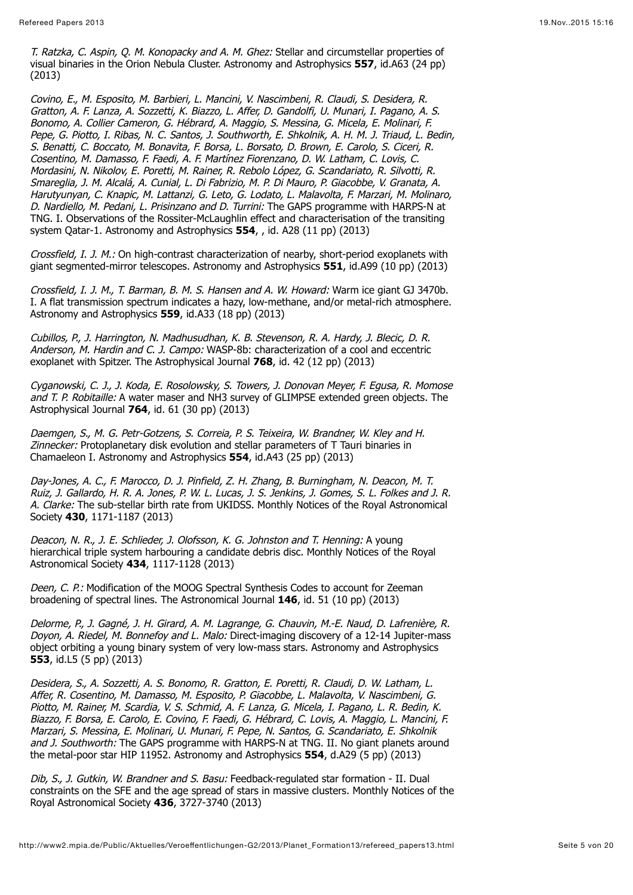T. Ratzka, C. Aspin, Q. M. Konopacky and A. M. Ghez: Stellar and circumstellar properties of visual binaries in the Orion Nebula Cluster. Astronomy and Astrophysics **557**, id.A63 (24 pp) (2013)

Covino, E., M. Esposito, M. Barbieri, L. Mancini, V. Nascimbeni, R. Claudi, S. Desidera, R. Gratton, A. F. Lanza, A. Sozzetti, K. Biazzo, L. Affer, D. Gandolfi, U. Munari, I. Pagano, A. S. Bonomo, A. Collier Cameron, G. Hébrard, A. Maggio, S. Messina, G. Micela, E. Molinari, F. Pepe, G. Piotto, I. Ribas, N. C. Santos, J. Southworth, E. Shkolnik, A. H. M. J. Triaud, L. Bedin, S. Benatti, C. Boccato, M. Bonavita, F. Borsa, L. Borsato, D. Brown, E. Carolo, S. Ciceri, R. Cosentino, M. Damasso, F. Faedi, A. F. Martínez Fiorenzano, D. W. Latham, C. Lovis, C. Mordasini, N. Nikolov, E. Poretti, M. Rainer, R. Rebolo López, G. Scandariato, R. Silvotti, R. Smareglia, J. M. Alcalá, A. Cunial, L. Di Fabrizio, M. P. Di Mauro, P. Giacobbe, V. Granata, A. Harutyunyan, C. Knapic, M. Lattanzi, G. Leto, G. Lodato, L. Malavolta, F. Marzari, M. Molinaro, D. Nardiello, M. Pedani, L. Prisinzano and D. Turrini: The GAPS programme with HARPS-N at TNG. I. Observations of the Rossiter-McLaughlin effect and characterisation of the transiting system Qatar-1. Astronomy and Astrophysics **554**, , id. A28 (11 pp) (2013)

Crossfield, I. J. M.: On high-contrast characterization of nearby, short-period exoplanets with giant segmented-mirror telescopes. Astronomy and Astrophysics **551**, id.A99 (10 pp) (2013)

Crossfield, I. J. M., T. Barman, B. M. S. Hansen and A. W. Howard: Warm ice giant GJ 3470b. I. A flat transmission spectrum indicates a hazy, low-methane, and/or metal-rich atmosphere. Astronomy and Astrophysics **559**, id.A33 (18 pp) (2013)

Cubillos, P., J. Harrington, N. Madhusudhan, K. B. Stevenson, R. A. Hardy, J. Blecic, D. R. Anderson, M. Hardin and C. J. Campo: WASP-8b: characterization of a cool and eccentric exoplanet with Spitzer. The Astrophysical Journal **768**, id. 42 (12 pp) (2013)

Cyganowski, C. J., J. Koda, E. Rosolowsky, S. Towers, J. Donovan Meyer, F. Egusa, R. Momose and T. P. Robitaille: A water maser and NH3 survey of GLIMPSE extended green objects. The Astrophysical Journal **764**, id. 61 (30 pp) (2013)

Daemgen, S., M. G. Petr-Gotzens, S. Correia, P. S. Teixeira, W. Brandner, W. Kley and H. Zinnecker: Protoplanetary disk evolution and stellar parameters of T Tauri binaries in Chamaeleon I. Astronomy and Astrophysics **554**, id.A43 (25 pp) (2013)

Day-Jones, A. C., F. Marocco, D. J. Pinfield, Z. H. Zhang, B. Burningham, N. Deacon, M. T. Ruiz, J. Gallardo, H. R. A. Jones, P. W. L. Lucas, J. S. Jenkins, J. Gomes, S. L. Folkes and J. R. A. Clarke: The sub-stellar birth rate from UKIDSS. Monthly Notices of the Royal Astronomical Society **430**, 1171-1187 (2013)

Deacon, N. R., J. E. Schlieder, J. Olofsson, K. G. Johnston and T. Henning: A young hierarchical triple system harbouring a candidate debris disc. Monthly Notices of the Royal Astronomical Society **434**, 1117-1128 (2013)

Deen, C. P.: Modification of the MOOG Spectral Synthesis Codes to account for Zeeman broadening of spectral lines. The Astronomical Journal **146**, id. 51 (10 pp) (2013)

Delorme, P., J. Gagné, J. H. Girard, A. M. Lagrange, G. Chauvin, M.-E. Naud, D. Lafrenière, R. Doyon, A. Riedel, M. Bonnefoy and L. Malo: Direct-imaging discovery of a 12-14 Jupiter-mass object orbiting a young binary system of very low-mass stars. Astronomy and Astrophysics **553**, id.L5 (5 pp) (2013)

Desidera, S., A. Sozzetti, A. S. Bonomo, R. Gratton, E. Poretti, R. Claudi, D. W. Latham, L. Affer, R. Cosentino, M. Damasso, M. Esposito, P. Giacobbe, L. Malavolta, V. Nascimbeni, G. Piotto, M. Rainer, M. Scardia, V. S. Schmid, A. F. Lanza, G. Micela, I. Pagano, L. R. Bedin, K. Biazzo, F. Borsa, E. Carolo, E. Covino, F. Faedi, G. Hébrard, C. Lovis, A. Maggio, L. Mancini, F. Marzari, S. Messina, E. Molinari, U. Munari, F. Pepe, N. Santos, G. Scandariato, E. Shkolnik and J. Southworth: The GAPS programme with HARPS-N at TNG. II. No giant planets around the metal-poor star HIP 11952. Astronomy and Astrophysics **554**, d.A29 (5 pp) (2013)

Dib, S., J. Gutkin, W. Brandner and S. Basu: Feedback-regulated star formation - II. Dual constraints on the SFE and the age spread of stars in massive clusters. Monthly Notices of the Royal Astronomical Society **436**, 3727-3740 (2013)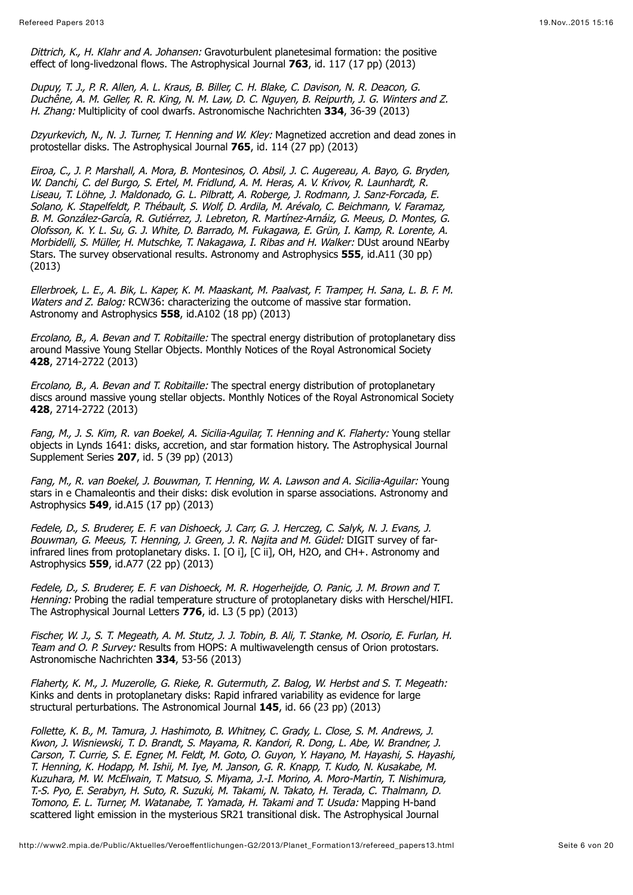Dittrich, K., H. Klahr and A. Johansen: Gravoturbulent planetesimal formation: the positive effect of long-livedzonal flows. The Astrophysical Journal **763**, id. 117 (17 pp) (2013)

Dupuy, T. J., P. R. Allen, A. L. Kraus, B. Biller, C. H. Blake, C. Davison, N. R. Deacon, G. Duchêne, A. M. Geller, R. R. King, N. M. Law, D. C. Nguyen, B. Reipurth, J. G. Winters and Z. H. Zhang: Multiplicity of cool dwarfs. Astronomische Nachrichten **334**, 36-39 (2013)

Dzyurkevich, N., N. J. Turner, T. Henning and W. Kley: Magnetized accretion and dead zones in protostellar disks. The Astrophysical Journal **765**, id. 114 (27 pp) (2013)

Eiroa, C., J. P. Marshall, A. Mora, B. Montesinos, O. Absil, J. C. Augereau, A. Bayo, G. Bryden, W. Danchi, C. del Burgo, S. Ertel, M. Fridlund, A. M. Heras, A. V. Krivov, R. Launhardt, R. Liseau, T. Löhne, J. Maldonado, G. L. Pilbratt, A. Roberge, J. Rodmann, J. Sanz-Forcada, E. Solano, K. Stapelfeldt, P. Thébault, S. Wolf, D. Ardila, M. Arévalo, C. Beichmann, V. Faramaz, B. M. González-García, R. Gutiérrez, J. Lebreton, R. Martínez-Arnáiz, G. Meeus, D. Montes, G. Olofsson, K. Y. L. Su, G. J. White, D. Barrado, M. Fukagawa, E. Grün, I. Kamp, R. Lorente, A. Morbidelli, S. Müller, H. Mutschke, T. Nakagawa, I. Ribas and H. Walker: DUst around NEarby Stars. The survey observational results. Astronomy and Astrophysics **555**, id.A11 (30 pp) (2013)

Ellerbroek, L. E., A. Bik, L. Kaper, K. M. Maaskant, M. Paalvast, F. Tramper, H. Sana, L. B. F. M. Waters and Z. Balog: RCW36: characterizing the outcome of massive star formation. Astronomy and Astrophysics **558**, id.A102 (18 pp) (2013)

Ercolano, B., A. Bevan and T. Robitaille: The spectral energy distribution of protoplanetary diss around Massive Young Stellar Objects. Monthly Notices of the Royal Astronomical Society **428**, 2714-2722 (2013)

Ercolano, B., A. Bevan and T. Robitaille: The spectral energy distribution of protoplanetary discs around massive young stellar objects. Monthly Notices of the Royal Astronomical Society **428**, 2714-2722 (2013)

Fang, M., J. S. Kim, R. van Boekel, A. Sicilia-Aguilar, T. Henning and K. Flaherty: Young stellar objects in Lynds 1641: disks, accretion, and star formation history. The Astrophysical Journal Supplement Series **207**, id. 5 (39 pp) (2013)

Fang, M., R. van Boekel, J. Bouwman, T. Henning, W. A. Lawson and A. Sicilia-Aguilar: Young stars in e Chamaleontis and their disks: disk evolution in sparse associations. Astronomy and Astrophysics **549**, id.A15 (17 pp) (2013)

Fedele, D., S. Bruderer, E. F. van Dishoeck, J. Carr, G. J. Herczeg, C. Salyk, N. J. Evans, J. Bouwman, G. Meeus, T. Henning, J. Green, J. R. Najita and M. Güdel: DIGIT survey of farinfrared lines from protoplanetary disks. I. [O i], [C ii], OH, H2O, and CH+. Astronomy and Astrophysics **559**, id.A77 (22 pp) (2013)

Fedele, D., S. Bruderer, E. F. van Dishoeck, M. R. Hogerheijde, O. Panic, J. M. Brown and T. Henning: Probing the radial temperature structure of protoplanetary disks with Herschel/HIFI. The Astrophysical Journal Letters **776**, id. L3 (5 pp) (2013)

Fischer, W. J., S. T. Megeath, A. M. Stutz, J. J. Tobin, B. Ali, T. Stanke, M. Osorio, E. Furlan, H. Team and O. P. Survey: Results from HOPS: A multiwavelength census of Orion protostars. Astronomische Nachrichten **334**, 53-56 (2013)

Flaherty, K. M., J. Muzerolle, G. Rieke, R. Gutermuth, Z. Balog, W. Herbst and S. T. Megeath: Kinks and dents in protoplanetary disks: Rapid infrared variability as evidence for large structural perturbations. The Astronomical Journal **145**, id. 66 (23 pp) (2013)

Follette, K. B., M. Tamura, J. Hashimoto, B. Whitney, C. Grady, L. Close, S. M. Andrews, J. Kwon, J. Wisniewski, T. D. Brandt, S. Mayama, R. Kandori, R. Dong, L. Abe, W. Brandner, J. Carson, T. Currie, S. E. Egner, M. Feldt, M. Goto, O. Guyon, Y. Hayano, M. Hayashi, S. Hayashi, T. Henning, K. Hodapp, M. Ishii, M. Iye, M. Janson, G. R. Knapp, T. Kudo, N. Kusakabe, M. Kuzuhara, M. W. McElwain, T. Matsuo, S. Miyama, J.-I. Morino, A. Moro-Martin, T. Nishimura, T.-S. Pyo, E. Serabyn, H. Suto, R. Suzuki, M. Takami, N. Takato, H. Terada, C. Thalmann, D. Tomono, E. L. Turner, M. Watanabe, T. Yamada, H. Takami and T. Usuda: Mapping H-band scattered light emission in the mysterious SR21 transitional disk. The Astrophysical Journal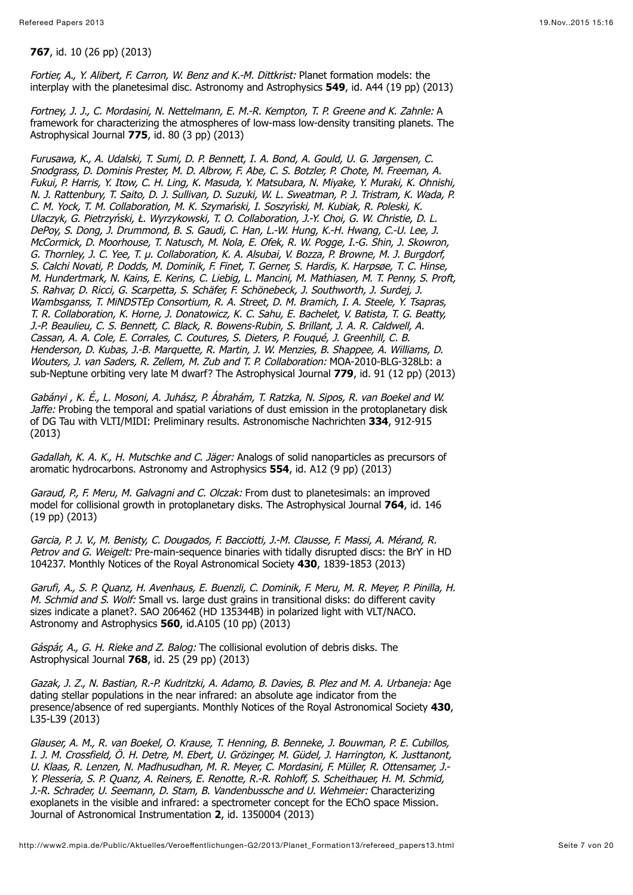**767**, id. 10 (26 pp) (2013)

Fortier, A., Y. Alibert, F. Carron, W. Benz and K.-M. Dittkrist: Planet formation models: the interplay with the planetesimal disc. Astronomy and Astrophysics **549**, id. A44 (19 pp) (2013)

Fortney, J. J., C. Mordasini, N. Nettelmann, E. M.-R. Kempton, T. P. Greene and K. Zahnle: A framework for characterizing the atmospheres of low-mass low-density transiting planets. The Astrophysical Journal **775**, id. 80 (3 pp) (2013)

Furusawa, K., A. Udalski, T. Sumi, D. P. Bennett, I. A. Bond, A. Gould, U. G. Jørgensen, C. Snodgrass, D. Dominis Prester, M. D. Albrow, F. Abe, C. S. Botzler, P. Chote, M. Freeman, A. Fukui, P. Harris, Y. Itow, C. H. Ling, K. Masuda, Y. Matsubara, N. Miyake, Y. Muraki, K. Ohnishi, N. J. Rattenbury, T. Saito, D. J. Sullivan, D. Suzuki, W. L. Sweatman, P. J. Tristram, K. Wada, P. C. M. Yock, T. M. Collaboration, M. K. Szymański, I. Soszyński, M. Kubiak, R. Poleski, K. Ulaczyk, G. Pietrzyński, Ł. Wyrzykowski, T. O. Collaboration, J.-Y. Choi, G. W. Christie, D. L. DePoy, S. Dong, J. Drummond, B. S. Gaudi, C. Han, L.-W. Hung, K.-H. Hwang, C.-U. Lee, J. McCormick, D. Moorhouse, T. Natusch, M. Nola, E. Ofek, R. W. Pogge, I.-G. Shin, J. Skowron, G. Thornley, J. C. Yee, T. µ. Collaboration, K. A. Alsubai, V. Bozza, P. Browne, M. J. Burgdorf, S. Calchi Novati, P. Dodds, M. Dominik, F. Finet, T. Gerner, S. Hardis, K. Harpsøe, T. C. Hinse, M. Hundertmark, N. Kains, E. Kerins, C. Liebig, L. Mancini, M. Mathiasen, M. T. Penny, S. Proft, S. Rahvar, D. Ricci, G. Scarpetta, S. Schäfer, F. Schönebeck, J. Southworth, J. Surdej, J. Wambsganss, T. MiNDSTEp Consortium, R. A. Street, D. M. Bramich, I. A. Steele, Y. Tsapras, T. R. Collaboration, K. Horne, J. Donatowicz, K. C. Sahu, E. Bachelet, V. Batista, T. G. Beatty, J.-P. Beaulieu, C. S. Bennett, C. Black, R. Bowens-Rubin, S. Brillant, J. A. R. Caldwell, A. Cassan, A. A. Cole, E. Corrales, C. Coutures, S. Dieters, P. Fouqué, J. Greenhill, C. B. Henderson, D. Kubas, J.-B. Marquette, R. Martin, J. W. Menzies, B. Shappee, A. Williams, D. Wouters, J. van Saders, R. Zellem, M. Zub and T. P. Collaboration: MOA-2010-BLG-328Lb: a sub-Neptune orbiting very late M dwarf? The Astrophysical Journal **779**, id. 91 (12 pp) (2013)

Gabányi , K. É., L. Mosoni, A. Juhász, P. Ábrahám, T. Ratzka, N. Sipos, R. van Boekel and W. Jaffe: Probing the temporal and spatial variations of dust emission in the protoplanetary disk of DG Tau with VLTI/MIDI: Preliminary results. Astronomische Nachrichten **334**, 912-915 (2013)

Gadallah, K. A. K., H. Mutschke and C. Jäger: Analogs of solid nanoparticles as precursors of aromatic hydrocarbons. Astronomy and Astrophysics **554**, id. A12 (9 pp) (2013)

Garaud, P., F. Meru, M. Galvagni and C. Olczak: From dust to planetesimals: an improved model for collisional growth in protoplanetary disks. The Astrophysical Journal **764**, id. 146 (19 pp) (2013)

Garcia, P. J. V., M. Benisty, C. Dougados, F. Bacciotti, J.-M. Clausse, F. Massi, A. Mérand, R. Petrov and G. Weigelt: Pre-main-sequence binaries with tidally disrupted discs: the BrY in HD 104237. Monthly Notices of the Royal Astronomical Society **430**, 1839-1853 (2013)

Garufi, A., S. P. Quanz, H. Avenhaus, E. Buenzli, C. Dominik, F. Meru, M. R. Meyer, P. Pinilla, H. M. Schmid and S. Wolf: Small vs. large dust grains in transitional disks: do different cavity sizes indicate a planet?. SAO 206462 (HD 135344B) in polarized light with VLT/NACO. Astronomy and Astrophysics **560**, id.A105 (10 pp) (2013)

Gáspár, A., G., H., Rieke and Z., Balog: The collisional evolution of debris disks. The Astrophysical Journal **768**, id. 25 (29 pp) (2013)

Gazak, J. Z., N. Bastian, R.-P. Kudritzki, A. Adamo, B. Davies, B. Plez and M. A. Urbaneja: Age dating stellar populations in the near infrared: an absolute age indicator from the presence/absence of red supergiants. Monthly Notices of the Royal Astronomical Society **430**, L35-L39 (2013)

Glauser, A. M., R. van Boekel, O. Krause, T. Henning, B. Benneke, J. Bouwman, P. E. Cubillos, I. J. M. Crossfield, Ö. H. Detre, M. Ebert, U. Grözinger, M. Güdel, J. Harrington, K. Justtanont, U. Klaas, R. Lenzen, N. Madhusudhan, M. R. Meyer, C. Mordasini, F. Müller, R. Ottensamer, J.- Y. Plesseria, S. P. Quanz, A. Reiners, E. Renotte, R.-R. Rohloff, S. Scheithauer, H. M. Schmid, J.-R. Schrader, U. Seemann, D. Stam, B. Vandenbussche and U. Wehmeier: Characterizing exoplanets in the visible and infrared: a spectrometer concept for the EChO space Mission. Journal of Astronomical Instrumentation **2**, id. 1350004 (2013)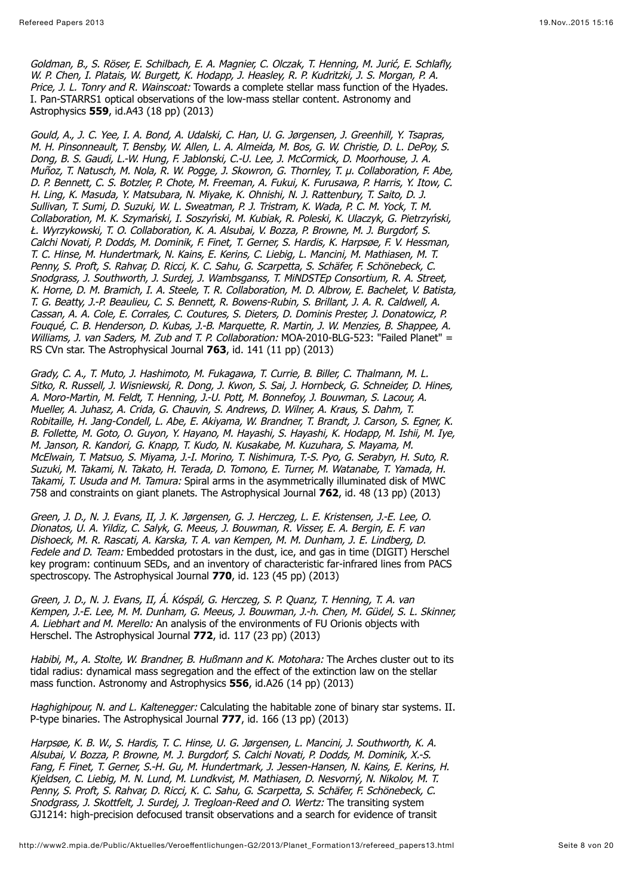Goldman, B., S. Röser, E. Schilbach, E. A. Magnier, C. Olczak, T. Henning, M. Jurić, E. Schlafly, W. P. Chen, I. Platais, W. Burgett, K. Hodapp, J. Heasley, R. P. Kudritzki, J. S. Morgan, P. A. Price, J. L. Tonry and R. Wainscoat: Towards a complete stellar mass function of the Hyades. I. Pan-STARRS1 optical observations of the low-mass stellar content. Astronomy and Astrophysics **559**, id.A43 (18 pp) (2013)

Gould, A., J. C. Yee, I. A. Bond, A. Udalski, C. Han, U. G. Jørgensen, J. Greenhill, Y. Tsapras, M. H. Pinsonneault, T. Bensby, W. Allen, L. A. Almeida, M. Bos, G. W. Christie, D. L. DePoy, S. Dong, B. S. Gaudi, L.-W. Hung, F. Jablonski, C.-U. Lee, J. McCormick, D. Moorhouse, J. A. Muñoz, T. Natusch, M. Nola, R. W. Pogge, J. Skowron, G. Thornley, T. µ. Collaboration, F. Abe, D. P. Bennett, C. S. Botzler, P. Chote, M. Freeman, A. Fukui, K. Furusawa, P. Harris, Y. Itow, C. H. Ling, K. Masuda, Y. Matsubara, N. Miyake, K. Ohnishi, N. J. Rattenbury, T. Saito, D. J. Sullivan, T. Sumi, D. Suzuki, W. L. Sweatman, P. J. Tristram, K. Wada, P. C. M. Yock, T. M. Collaboration, M. K. Szymański, I. Soszyński, M. Kubiak, R. Poleski, K. Ulaczyk, G. Pietrzyński, Ł. Wyrzykowski, T. O. Collaboration, K. A. Alsubai, V. Bozza, P. Browne, M. J. Burgdorf, S. Calchi Novati, P. Dodds, M. Dominik, F. Finet, T. Gerner, S. Hardis, K. Harpsøe, F. V. Hessman, T. C. Hinse, M. Hundertmark, N. Kains, E. Kerins, C. Liebig, L. Mancini, M. Mathiasen, M. T. Penny, S. Proft, S. Rahvar, D. Ricci, K. C. Sahu, G. Scarpetta, S. Schäfer, F. Schönebeck, C. Snodgrass, J. Southworth, J. Surdej, J. Wambsganss, T. MiNDSTEp Consortium, R. A. Street, K. Horne, D. M. Bramich, I. A. Steele, T. R. Collaboration, M. D. Albrow, E. Bachelet, V. Batista, T. G. Beatty, J.-P. Beaulieu, C. S. Bennett, R. Bowens-Rubin, S. Brillant, J. A. R. Caldwell, A. Cassan, A. A. Cole, E. Corrales, C. Coutures, S. Dieters, D. Dominis Prester, J. Donatowicz, P. Fouqué, C. B. Henderson, D. Kubas, J.-B. Marquette, R. Martin, J. W. Menzies, B. Shappee, A. Williams, J. van Saders, M. Zub and T. P. Collaboration: MOA-2010-BLG-523: "Failed Planet" = RS CVn star. The Astrophysical Journal **763**, id. 141 (11 pp) (2013)

Grady, C. A., T. Muto, J. Hashimoto, M. Fukagawa, T. Currie, B. Biller, C. Thalmann, M. L. Sitko, R. Russell, J. Wisniewski, R. Dong, J. Kwon, S. Sai, J. Hornbeck, G. Schneider, D. Hines, A. Moro-Martin, M. Feldt, T. Henning, J.-U. Pott, M. Bonnefoy, J. Bouwman, S. Lacour, A. Mueller, A. Juhasz, A. Crida, G. Chauvin, S. Andrews, D. Wilner, A. Kraus, S. Dahm, T. Robitaille, H. Jang-Condell, L. Abe, E. Akiyama, W. Brandner, T. Brandt, J. Carson, S. Egner, K. B. Follette, M. Goto, O. Guyon, Y. Hayano, M. Hayashi, S. Hayashi, K. Hodapp, M. Ishii, M. Iye, M. Janson, R. Kandori, G. Knapp, T. Kudo, N. Kusakabe, M. Kuzuhara, S. Mayama, M. McElwain, T. Matsuo, S. Miyama, J.-I. Morino, T. Nishimura, T.-S. Pyo, G. Serabyn, H. Suto, R. Suzuki, M. Takami, N. Takato, H. Terada, D. Tomono, E. Turner, M. Watanabe, T. Yamada, H. Takami, T. Usuda and M. Tamura: Spiral arms in the asymmetrically illuminated disk of MWC 758 and constraints on giant planets. The Astrophysical Journal **762**, id. 48 (13 pp) (2013)

Green, J. D., N. J. Evans, II, J. K. Jørgensen, G. J. Herczeg, L. E. Kristensen, J.-E. Lee, O. Dionatos, U. A. Yildiz, C. Salyk, G. Meeus, J. Bouwman, R. Visser, E. A. Bergin, E. F. van Dishoeck, M. R. Rascati, A. Karska, T. A. van Kempen, M. M. Dunham, J. E. Lindberg, D. Fedele and D. Team: Embedded protostars in the dust, ice, and gas in time (DIGIT) Herschel key program: continuum SEDs, and an inventory of characteristic far-infrared lines from PACS spectroscopy. The Astrophysical Journal **770**, id. 123 (45 pp) (2013)

Green, J. D., N. J. Evans, II, Á. Kóspál, G. Herczeg, S. P. Quanz, T. Henning, T. A. van Kempen, J.-E. Lee, M. M. Dunham, G. Meeus, J. Bouwman, J.-h. Chen, M. Güdel, S. L. Skinner, A. Liebhart and M. Merello: An analysis of the environments of FU Orionis objects with Herschel. The Astrophysical Journal **772**, id. 117 (23 pp) (2013)

Habibi, M., A. Stolte, W. Brandner, B. Hußmann and K. Motohara: The Arches cluster out to its tidal radius: dynamical mass segregation and the effect of the extinction law on the stellar mass function. Astronomy and Astrophysics **556**, id.A26 (14 pp) (2013)

Haghighipour, N. and L. Kaltenegger: Calculating the habitable zone of binary star systems. II. P-type binaries. The Astrophysical Journal **777**, id. 166 (13 pp) (2013)

Harpsøe, K. B. W., S. Hardis, T. C. Hinse, U. G. Jørgensen, L. Mancini, J. Southworth, K. A. Alsubai, V. Bozza, P. Browne, M. J. Burgdorf, S. Calchi Novati, P. Dodds, M. Dominik, X.-S. Fang, F. Finet, T. Gerner, S.-H. Gu, M. Hundertmark, J. Jessen-Hansen, N. Kains, E. Kerins, H. Kjeldsen, C. Liebig, M. N. Lund, M. Lundkvist, M. Mathiasen, D. Nesvorný, N. Nikolov, M. T. Penny, S. Proft, S. Rahvar, D. Ricci, K. C. Sahu, G. Scarpetta, S. Schäfer, F. Schönebeck, C. Snodgrass, J. Skottfelt, J. Surdej, J. Tregloan-Reed and O. Wertz: The transiting system GJ1214: high-precision defocused transit observations and a search for evidence of transit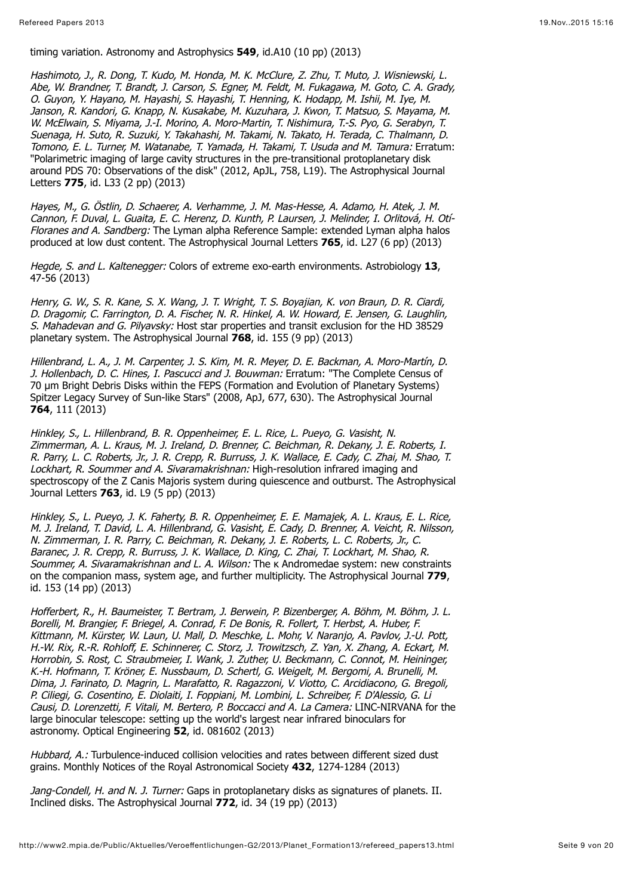#### timing variation. Astronomy and Astrophysics **549**, id.A10 (10 pp) (2013)

Hashimoto, J., R. Dong, T. Kudo, M. Honda, M. K. McClure, Z. Zhu, T. Muto, J. Wisniewski, L. Abe, W. Brandner, T. Brandt, J. Carson, S. Egner, M. Feldt, M. Fukagawa, M. Goto, C. A. Grady, O. Guyon, Y. Hayano, M. Hayashi, S. Hayashi, T. Henning, K. Hodapp, M. Ishii, M. Iye, M. Janson, R. Kandori, G. Knapp, N. Kusakabe, M. Kuzuhara, J. Kwon, T. Matsuo, S. Mayama, M. W. McElwain, S. Miyama, J.-I. Morino, A. Moro-Martin, T. Nishimura, T.-S. Pyo, G. Serabyn, T. Suenaga, H. Suto, R. Suzuki, Y. Takahashi, M. Takami, N. Takato, H. Terada, C. Thalmann, D. Tomono, E. L. Turner, M. Watanabe, T. Yamada, H. Takami, T. Usuda and M. Tamura: Erratum: "Polarimetric imaging of large cavity structures in the pre-transitional protoplanetary disk around PDS 70: Observations of the disk" (2012, ApJL, 758, L19). The Astrophysical Journal Letters **775**, id. L33 (2 pp) (2013)

Hayes, M., G. Östlin, D. Schaerer, A. Verhamme, J. M. Mas-Hesse, A. Adamo, H. Atek, J. M. Cannon, F. Duval, L. Guaita, E. C. Herenz, D. Kunth, P. Laursen, J. Melinder, I. Orlitová, H. Otí-Floranes and A. Sandberg: The Lyman alpha Reference Sample: extended Lyman alpha halos produced at low dust content. The Astrophysical Journal Letters **765**, id. L27 (6 pp) (2013)

Hegde, S. and L. Kaltenegger: Colors of extreme exo-earth environments. Astrobiology **13**, 47-56 (2013)

Henry, G. W., S. R. Kane, S. X. Wang, J. T. Wright, T. S. Boyajian, K. von Braun, D. R. Ciardi, D. Dragomir, C. Farrington, D. A. Fischer, N. R. Hinkel, A. W. Howard, E. Jensen, G. Laughlin, S. Mahadevan and G. Pilyavsky: Host star properties and transit exclusion for the HD 38529 planetary system. The Astrophysical Journal **768**, id. 155 (9 pp) (2013)

Hillenbrand, L. A., J. M. Carpenter, J. S. Kim, M. R. Meyer, D. E. Backman, A. Moro-Martín, D. J. Hollenbach, D. C. Hines, I. Pascucci and J. Bouwman: Erratum: "The Complete Census of 70 µm Bright Debris Disks within the FEPS (Formation and Evolution of Planetary Systems) Spitzer Legacy Survey of Sun-like Stars" (2008, ApJ, 677, 630). The Astrophysical Journal **764**, 111 (2013)

Hinkley, S., L. Hillenbrand, B. R. Oppenheimer, E. L. Rice, L. Pueyo, G. Vasisht, N. Zimmerman, A. L. Kraus, M. J. Ireland, D. Brenner, C. Beichman, R. Dekany, J. E. Roberts, I. R. Parry, L. C. Roberts, Jr., J. R. Crepp, R. Burruss, J. K. Wallace, E. Cady, C. Zhai, M. Shao, T. Lockhart, R. Soummer and A. Sivaramakrishnan: High-resolution infrared imaging and spectroscopy of the Z Canis Majoris system during quiescence and outburst. The Astrophysical Journal Letters **763**, id. L9 (5 pp) (2013)

Hinkley, S., L. Pueyo, J. K. Faherty, B. R. Oppenheimer, E. E. Mamajek, A. L. Kraus, E. L. Rice, M. J. Ireland, T. David, L. A. Hillenbrand, G. Vasisht, E. Cady, D. Brenner, A. Veicht, R. Nilsson, N. Zimmerman, I. R. Parry, C. Beichman, R. Dekany, J. E. Roberts, L. C. Roberts, Jr., C. Baranec, J. R. Crepp, R. Burruss, J. K. Wallace, D. King, C. Zhai, T. Lockhart, M. Shao, R. Soummer, A. Sivaramakrishnan and L. A. Wilson: The K Andromedae system: new constraints on the companion mass, system age, and further multiplicity. The Astrophysical Journal **779**, id. 153 (14 pp) (2013)

Hofferbert, R., H. Baumeister, T. Bertram, J. Berwein, P. Bizenberger, A. Böhm, M. Böhm, J. L. Borelli, M. Brangier, F. Briegel, A. Conrad, F. De Bonis, R. Follert, T. Herbst, A. Huber, F. Kittmann, M. Kürster, W. Laun, U. Mall, D. Meschke, L. Mohr, V. Naranjo, A. Pavlov, J.-U. Pott, H.-W. Rix, R.-R. Rohloff, E. Schinnerer, C. Storz, J. Trowitzsch, Z. Yan, X. Zhang, A. Eckart, M. Horrobin, S. Rost, C. Straubmeier, I. Wank, J. Zuther, U. Beckmann, C. Connot, M. Heininger, K.-H. Hofmann, T. Kröner, E. Nussbaum, D. Schertl, G. Weigelt, M. Bergomi, A. Brunelli, M. Dima, J. Farinato, D. Magrin, L. Marafatto, R. Ragazzoni, V. Viotto, C. Arcidiacono, G. Bregoli, P. Ciliegi, G. Cosentino, E. Diolaiti, I. Foppiani, M. Lombini, L. Schreiber, F. D'Alessio, G. Li Causi, D. Lorenzetti, F. Vitali, M. Bertero, P. Boccacci and A. La Camera: LINC-NIRVANA for the large binocular telescope: setting up the world's largest near infrared binoculars for astronomy. Optical Engineering **52**, id. 081602 (2013)

Hubbard, A.: Turbulence-induced collision velocities and rates between different sized dust grains. Monthly Notices of the Royal Astronomical Society **432**, 1274-1284 (2013)

Jang-Condell, H. and N. J. Turner: Gaps in protoplanetary disks as signatures of planets. II. Inclined disks. The Astrophysical Journal **772**, id. 34 (19 pp) (2013)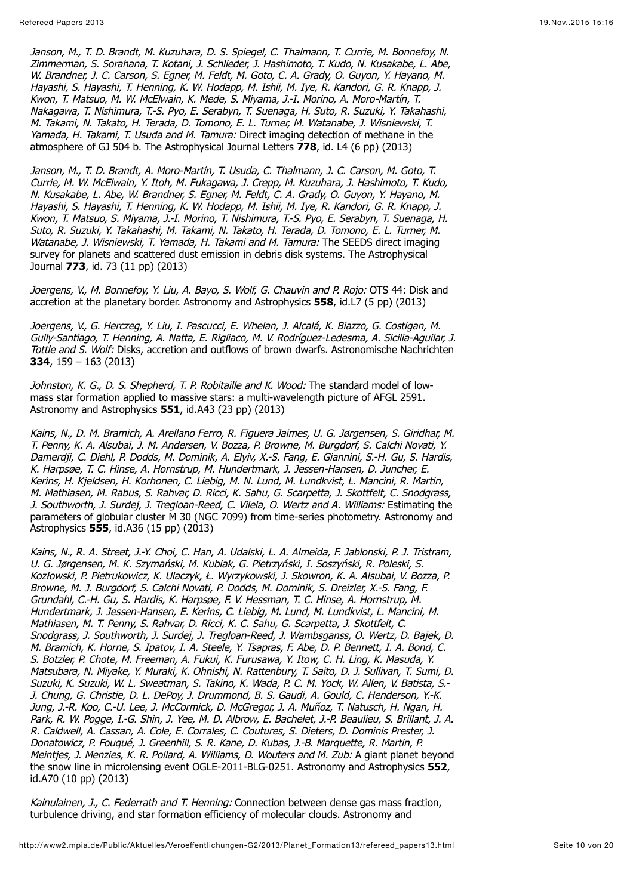Janson, M., T. D. Brandt, M. Kuzuhara, D. S. Spiegel, C. Thalmann, T. Currie, M. Bonnefoy, N. Zimmerman, S. Sorahana, T. Kotani, J. Schlieder, J. Hashimoto, T. Kudo, N. Kusakabe, L. Abe, W. Brandner, J. C. Carson, S. Egner, M. Feldt, M. Goto, C. A. Grady, O. Guyon, Y. Hayano, M. Hayashi, S. Hayashi, T. Henning, K. W. Hodapp, M. Ishii, M. Iye, R. Kandori, G. R. Knapp, J. Kwon, T. Matsuo, M. W. McElwain, K. Mede, S. Miyama, J.-I. Morino, A. Moro-Martín, T. Nakagawa, T. Nishimura, T.-S. Pyo, E. Serabyn, T. Suenaga, H. Suto, R. Suzuki, Y. Takahashi, M. Takami, N. Takato, H. Terada, D. Tomono, E. L. Turner, M. Watanabe, J. Wisniewski, T. Yamada, H. Takami, T. Usuda and M. Tamura: Direct imaging detection of methane in the atmosphere of GJ 504 b. The Astrophysical Journal Letters **778**, id. L4 (6 pp) (2013)

Janson, M., T. D. Brandt, A. Moro-Martín, T. Usuda, C. Thalmann, J. C. Carson, M. Goto, T. Currie, M. W. McElwain, Y. Itoh, M. Fukagawa, J. Crepp, M. Kuzuhara, J. Hashimoto, T. Kudo, N. Kusakabe, L. Abe, W. Brandner, S. Egner, M. Feldt, C. A. Grady, O. Guyon, Y. Hayano, M. Hayashi, S. Hayashi, T. Henning, K. W. Hodapp, M. Ishii, M. Iye, R. Kandori, G. R. Knapp, J. Kwon, T. Matsuo, S. Miyama, J.-I. Morino, T. Nishimura, T.-S. Pyo, E. Serabyn, T. Suenaga, H. Suto, R. Suzuki, Y. Takahashi, M. Takami, N. Takato, H. Terada, D. Tomono, E. L. Turner, M. Watanabe, J. Wisniewski, T. Yamada, H. Takami and M. Tamura: The SEEDS direct imaging survey for planets and scattered dust emission in debris disk systems. The Astrophysical Journal **773**, id. 73 (11 pp) (2013)

Joergens, V., M. Bonnefoy, Y. Liu, A. Bayo, S. Wolf, G. Chauvin and P. Rojo: OTS 44: Disk and accretion at the planetary border. Astronomy and Astrophysics **558**, id.L7 (5 pp) (2013)

Joergens, V., G. Herczeg, Y. Liu, I. Pascucci, E. Whelan, J. Alcalá, K. Biazzo, G. Costigan, M. Gully-Santiago, T. Henning, A. Natta, E. Rigliaco, M. V. Rodríguez-Ledesma, A. Sicilia-Aguilar, J. Tottle and S. Wolf: Disks, accretion and outflows of brown dwarfs. Astronomische Nachrichten **334**, 159 – 163 (2013)

Johnston, K. G., D. S. Shepherd, T. P. Robitaille and K. Wood: The standard model of lowmass star formation applied to massive stars: a multi-wavelength picture of AFGL 2591. Astronomy and Astrophysics **551**, id.A43 (23 pp) (2013)

Kains, N., D. M. Bramich, A. Arellano Ferro, R. Figuera Jaimes, U. G. Jørgensen, S. Giridhar, M. T. Penny, K. A. Alsubai, J. M. Andersen, V. Bozza, P. Browne, M. Burgdorf, S. Calchi Novati, Y. Damerdji, C. Diehl, P. Dodds, M. Dominik, A. Elyiv, X.-S. Fang, E. Giannini, S.-H. Gu, S. Hardis, K. Harpsøe, T. C. Hinse, A. Hornstrup, M. Hundertmark, J. Jessen-Hansen, D. Juncher, E. Kerins, H. Kjeldsen, H. Korhonen, C. Liebig, M. N. Lund, M. Lundkvist, L. Mancini, R. Martin, M. Mathiasen, M. Rabus, S. Rahvar, D. Ricci, K. Sahu, G. Scarpetta, J. Skottfelt, C. Snodgrass, J. Southworth, J. Surdej, J. Tregloan-Reed, C. Vilela, O. Wertz and A. Williams: Estimating the parameters of globular cluster M 30 (NGC 7099) from time-series photometry. Astronomy and Astrophysics **555**, id.A36 (15 pp) (2013)

Kains, N., R. A. Street, J.-Y. Choi, C. Han, A. Udalski, L. A. Almeida, F. Jablonski, P. J. Tristram, U. G. Jørgensen, M. K. Szymański, M. Kubiak, G. Pietrzyński, I. Soszyński, R. Poleski, S. Kozłowski, P. Pietrukowicz, K. Ulaczyk, Ł. Wyrzykowski, J. Skowron, K. A. Alsubai, V. Bozza, P. Browne, M. J. Burgdorf, S. Calchi Novati, P. Dodds, M. Dominik, S. Dreizler, X.-S. Fang, F. Grundahl, C.-H. Gu, S. Hardis, K. Harpsøe, F. V. Hessman, T. C. Hinse, A. Hornstrup, M. Hundertmark, J. Jessen-Hansen, E. Kerins, C. Liebig, M. Lund, M. Lundkvist, L. Mancini, M. Mathiasen, M. T. Penny, S. Rahvar, D. Ricci, K. C. Sahu, G. Scarpetta, J. Skottfelt, C. Snodgrass, J. Southworth, J. Surdej, J. Tregloan-Reed, J. Wambsganss, O. Wertz, D. Bajek, D. M. Bramich, K. Horne, S. Ipatov, I. A. Steele, Y. Tsapras, F. Abe, D. P. Bennett, I. A. Bond, C. S. Botzler, P. Chote, M. Freeman, A. Fukui, K. Furusawa, Y. Itow, C. H. Ling, K. Masuda, Y. Matsubara, N. Miyake, Y. Muraki, K. Ohnishi, N. Rattenbury, T. Saito, D. J. Sullivan, T. Sumi, D. Suzuki, K. Suzuki, W. L. Sweatman, S. Takino, K. Wada, P. C. M. Yock, W. Allen, V. Batista, S.- J. Chung, G. Christie, D. L. DePoy, J. Drummond, B. S. Gaudi, A. Gould, C. Henderson, Y.-K. Jung, J.-R. Koo, C.-U. Lee, J. McCormick, D. McGregor, J. A. Muñoz, T. Natusch, H. Ngan, H. Park, R. W. Pogge, I.-G. Shin, J. Yee, M. D. Albrow, E. Bachelet, J.-P. Beaulieu, S. Brillant, J. A. R. Caldwell, A. Cassan, A. Cole, E. Corrales, C. Coutures, S. Dieters, D. Dominis Prester, J. Donatowicz, P. Fouqué, J. Greenhill, S. R. Kane, D. Kubas, J.-B. Marquette, R. Martin, P. Meinties, J. Menzies, K. R. Pollard, A. Williams, D. Wouters and M. Zub: A giant planet beyond the snow line in microlensing event OGLE-2011-BLG-0251. Astronomy and Astrophysics **552**, id.A70 (10 pp) (2013)

Kainulainen, J., C. Federrath and T. Henning: Connection between dense gas mass fraction, turbulence driving, and star formation efficiency of molecular clouds. Astronomy and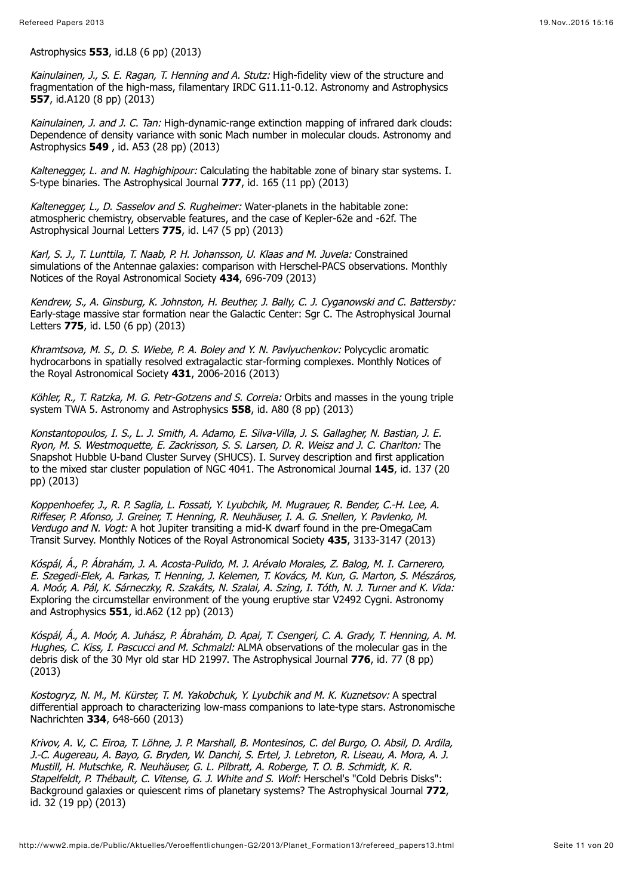Astrophysics **553**, id.L8 (6 pp) (2013)

Kainulainen, J., S. E. Ragan, T. Henning and A. Stutz: High-fidelity view of the structure and fragmentation of the high-mass, filamentary IRDC G11.11-0.12. Astronomy and Astrophysics **557**, id.A120 (8 pp) (2013)

Kainulainen, J. and J. C. Tan: High-dynamic-range extinction mapping of infrared dark clouds: Dependence of density variance with sonic Mach number in molecular clouds. Astronomy and Astrophysics **549** , id. A53 (28 pp) (2013)

Kaltenegger, L. and N. Haghighipour: Calculating the habitable zone of binary star systems. I. S-type binaries. The Astrophysical Journal **777**, id. 165 (11 pp) (2013)

Kaltenegger, L., D. Sasselov and S. Rugheimer: Water-planets in the habitable zone: atmospheric chemistry, observable features, and the case of Kepler-62e and -62f. The Astrophysical Journal Letters **775**, id. L47 (5 pp) (2013)

Karl, S. J., T. Lunttila, T. Naab, P. H. Johansson, U. Klaas and M. Juvela: Constrained simulations of the Antennae galaxies: comparison with Herschel-PACS observations. Monthly Notices of the Royal Astronomical Society **434**, 696-709 (2013)

Kendrew, S., A. Ginsburg, K. Johnston, H. Beuther, J. Bally, C. J. Cyganowski and C. Battersby: Early-stage massive star formation near the Galactic Center: Sgr C. The Astrophysical Journal Letters **775**, id. L50 (6 pp) (2013)

Khramtsova, M. S., D. S. Wiebe, P. A. Boley and Y. N. Pavlyuchenkov: Polycyclic aromatic hydrocarbons in spatially resolved extragalactic star-forming complexes. Monthly Notices of the Royal Astronomical Society **431**, 2006-2016 (2013)

Köhler, R., T. Ratzka, M. G. Petr-Gotzens and S. Correia: Orbits and masses in the young triple system TWA 5. Astronomy and Astrophysics **558**, id. A80 (8 pp) (2013)

Konstantopoulos, I. S., L. J. Smith, A. Adamo, E. Silva-Villa, J. S. Gallagher, N. Bastian, J. E. Ryon, M. S. Westmoquette, E. Zackrisson, S. S. Larsen, D. R. Weisz and J. C. Charlton: The Snapshot Hubble U-band Cluster Survey (SHUCS). I. Survey description and first application to the mixed star cluster population of NGC 4041. The Astronomical Journal **145**, id. 137 (20 pp) (2013)

Koppenhoefer, J., R. P. Saglia, L. Fossati, Y. Lyubchik, M. Mugrauer, R. Bender, C.-H. Lee, A. Riffeser, P. Afonso, J. Greiner, T. Henning, R. Neuhäuser, I. A. G. Snellen, Y. Pavlenko, M. Verdugo and N. Vogt: A hot Jupiter transiting a mid-K dwarf found in the pre-OmegaCam Transit Survey. Monthly Notices of the Royal Astronomical Society **435**, 3133-3147 (2013)

Kóspál, Á., P. Ábrahám, J. A. Acosta-Pulido, M. J. Arévalo Morales, Z. Balog, M. I. Carnerero, E. Szegedi-Elek, A. Farkas, T. Henning, J. Kelemen, T. Kovács, M. Kun, G. Marton, S. Mészáros, A. Moór, A. Pál, K. Sárneczky, R. Szakáts, N. Szalai, A. Szing, I. Tóth, N. J. Turner and K. Vida: Exploring the circumstellar environment of the young eruptive star V2492 Cygni. Astronomy and Astrophysics **551**, id.A62 (12 pp) (2013)

Kóspál, Á., A. Moór, A. Juhász, P. Ábrahám, D. Apai, T. Csengeri, C. A. Grady, T. Henning, A. M. Hughes, C. Kiss, I. Pascucci and M. Schmalzl: ALMA observations of the molecular gas in the debris disk of the 30 Myr old star HD 21997. The Astrophysical Journal **776**, id. 77 (8 pp) (2013)

Kostogryz, N. M., M. Kürster, T. M. Yakobchuk, Y. Lyubchik and M. K. Kuznetsov: A spectral differential approach to characterizing low-mass companions to late-type stars. Astronomische Nachrichten **334**, 648-660 (2013)

Krivov, A. V., C. Eiroa, T. Löhne, J. P. Marshall, B. Montesinos, C. del Burgo, O. Absil, D. Ardila, J.-C. Augereau, A. Bayo, G. Bryden, W. Danchi, S. Ertel, J. Lebreton, R. Liseau, A. Mora, A. J. Mustill, H. Mutschke, R. Neuhäuser, G. L. Pilbratt, A. Roberge, T. O. B. Schmidt, K. R. Stapelfeldt, P. Thébault, C. Vitense, G. J. White and S. Wolf: Herschel's "Cold Debris Disks": Background galaxies or quiescent rims of planetary systems? The Astrophysical Journal **772**, id. 32 (19 pp) (2013)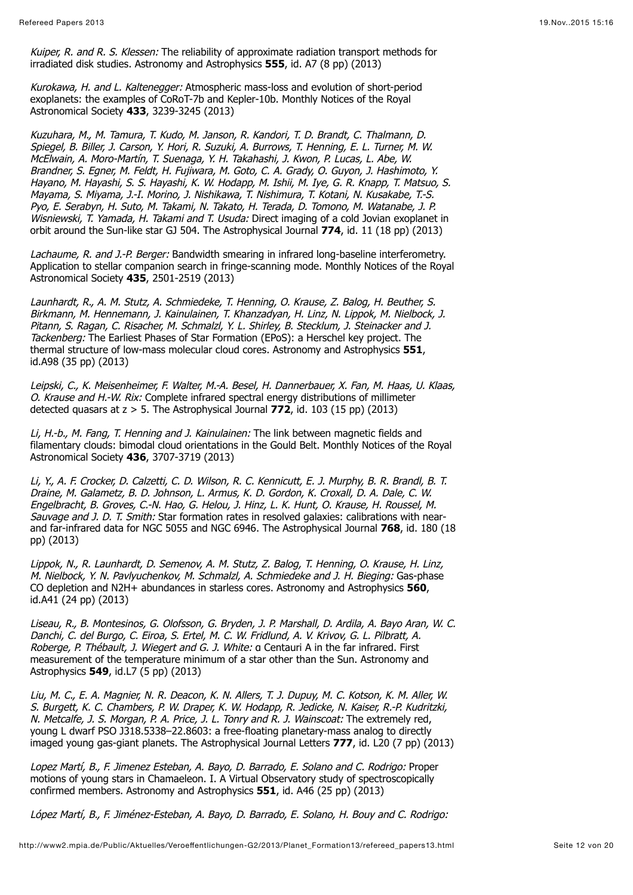Kuiper, R. and R. S. Klessen: The reliability of approximate radiation transport methods for irradiated disk studies. Astronomy and Astrophysics **555**, id. A7 (8 pp) (2013)

Kurokawa, H. and L. Kaltenegger: Atmospheric mass-loss and evolution of short-period exoplanets: the examples of CoRoT-7b and Kepler-10b. Monthly Notices of the Royal Astronomical Society **433**, 3239-3245 (2013)

Kuzuhara, M., M. Tamura, T. Kudo, M. Janson, R. Kandori, T. D. Brandt, C. Thalmann, D. Spiegel, B. Biller, J. Carson, Y. Hori, R. Suzuki, A. Burrows, T. Henning, E. L. Turner, M. W. McElwain, A. Moro-Martín, T. Suenaga, Y. H. Takahashi, J. Kwon, P. Lucas, L. Abe, W. Brandner, S. Egner, M. Feldt, H. Fujiwara, M. Goto, C. A. Grady, O. Guyon, J. Hashimoto, Y. Hayano, M. Hayashi, S. S. Hayashi, K. W. Hodapp, M. Ishii, M. Iye, G. R. Knapp, T. Matsuo, S. Mayama, S. Miyama, J.-I. Morino, J. Nishikawa, T. Nishimura, T. Kotani, N. Kusakabe, T.-S. Pyo, E. Serabyn, H. Suto, M. Takami, N. Takato, H. Terada, D. Tomono, M. Watanabe, J. P. Wisniewski, T. Yamada, H. Takami and T. Usuda: Direct imaging of a cold Jovian exoplanet in orbit around the Sun-like star GJ 504. The Astrophysical Journal **774**, id. 11 (18 pp) (2013)

Lachaume, R. and J.-P. Berger: Bandwidth smearing in infrared long-baseline interferometry. Application to stellar companion search in fringe-scanning mode. Monthly Notices of the Royal Astronomical Society **435**, 2501-2519 (2013)

Launhardt, R., A. M. Stutz, A. Schmiedeke, T. Henning, O. Krause, Z. Balog, H. Beuther, S. Birkmann, M. Hennemann, J. Kainulainen, T. Khanzadyan, H. Linz, N. Lippok, M. Nielbock, J. Pitann, S. Ragan, C. Risacher, M. Schmalzl, Y. L. Shirley, B. Stecklum, J. Steinacker and J. Tackenberg: The Earliest Phases of Star Formation (EPoS): a Herschel key project. The thermal structure of low-mass molecular cloud cores. Astronomy and Astrophysics **551**, id.A98 (35 pp) (2013)

Leipski, C., K. Meisenheimer, F. Walter, M.-A. Besel, H. Dannerbauer, X. Fan, M. Haas, U. Klaas, O. Krause and H.-W. Rix: Complete infrared spectral energy distributions of millimeter detected quasars at z > 5. The Astrophysical Journal **772**, id. 103 (15 pp) (2013)

Li, H.-b., M. Fang, T. Henning and J. Kainulainen: The link between magnetic fields and filamentary clouds: bimodal cloud orientations in the Gould Belt. Monthly Notices of the Royal Astronomical Society **436**, 3707-3719 (2013)

Li, Y., A. F. Crocker, D. Calzetti, C. D. Wilson, R. C. Kennicutt, E. J. Murphy, B. R. Brandl, B. T. Draine, M. Galametz, B. D. Johnson, L. Armus, K. D. Gordon, K. Croxall, D. A. Dale, C. W. Engelbracht, B. Groves, C.-N. Hao, G. Helou, J. Hinz, L. K. Hunt, O. Krause, H. Roussel, M. Sauvage and J. D. T. Smith: Star formation rates in resolved galaxies: calibrations with nearand far-infrared data for NGC 5055 and NGC 6946. The Astrophysical Journal **768**, id. 180 (18 pp) (2013)

Lippok, N., R. Launhardt, D. Semenov, A. M. Stutz, Z. Balog, T. Henning, O. Krause, H. Linz, M. Nielbock, Y. N. Pavlyuchenkov, M. Schmalzl, A. Schmiedeke and J. H. Bieging: Gas-phase CO depletion and N2H+ abundances in starless cores. Astronomy and Astrophysics **560**, id.A41 (24 pp) (2013)

Liseau, R., B. Montesinos, G. Olofsson, G. Bryden, J. P. Marshall, D. Ardila, A. Bayo Aran, W. C. Danchi, C. del Burgo, C. Eiroa, S. Ertel, M. C. W. Fridlund, A. V. Krivov, G. L. Pilbratt, A. Roberge, P. Thébault, J. Wiegert and G. J. White: α Centauri A in the far infrared. First measurement of the temperature minimum of a star other than the Sun. Astronomy and Astrophysics **549**, id.L7 (5 pp) (2013)

Liu, M. C., E. A. Magnier, N. R. Deacon, K. N. Allers, T. J. Dupuy, M. C. Kotson, K. M. Aller, W. S. Burgett, K. C. Chambers, P. W. Draper, K. W. Hodapp, R. Jedicke, N. Kaiser, R.-P. Kudritzki, N. Metcalfe, J. S. Morgan, P. A. Price, J. L. Tonry and R. J. Wainscoat: The extremely red, young L dwarf PSO J318.5338–22.8603: a free-floating planetary-mass analog to directly imaged young gas-giant planets. The Astrophysical Journal Letters **777**, id. L20 (7 pp) (2013)

Lopez Martí, B., F. Jimenez Esteban, A. Bayo, D. Barrado, E. Solano and C. Rodrigo: Proper motions of young stars in Chamaeleon. I. A Virtual Observatory study of spectroscopically confirmed members. Astronomy and Astrophysics **551**, id. A46 (25 pp) (2013)

López Martí, B., F. Jiménez-Esteban, A. Bayo, D. Barrado, E. Solano, H. Bouy and C. Rodrigo: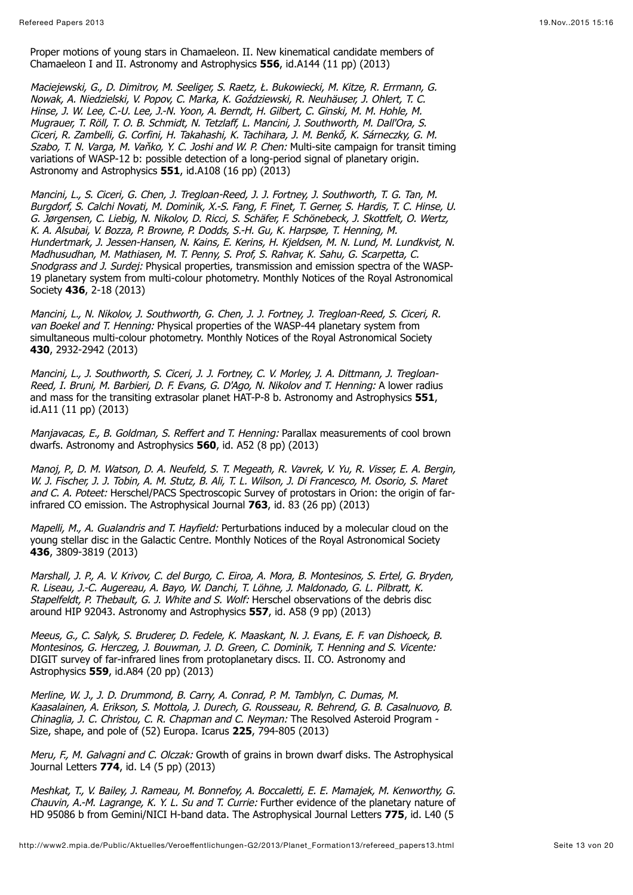Proper motions of young stars in Chamaeleon. II. New kinematical candidate members of Chamaeleon I and II. Astronomy and Astrophysics **556**, id.A144 (11 pp) (2013)

Maciejewski, G., D. Dimitrov, M. Seeliger, S. Raetz, Ł. Bukowiecki, M. Kitze, R. Errmann, G. Nowak, A. Niedzielski, V. Popov, C. Marka, K. Goździewski, R. Neuhäuser, J. Ohlert, T. C. Hinse, J. W. Lee, C.-U. Lee, J.-N. Yoon, A. Berndt, H. Gilbert, C. Ginski, M. M. Hohle, M. Mugrauer, T. Röll, T. O. B. Schmidt, N. Tetzlaff, L. Mancini, J. Southworth, M. Dall'Ora, S. Ciceri, R. Zambelli, G. Corfini, H. Takahashi, K. Tachihara, J. M. Benkő, K. Sárneczky, G. M. Szabo, T. N. Varga, M. Vaňko, Y. C. Joshi and W. P. Chen: Multi-site campaign for transit timing variations of WASP-12 b: possible detection of a long-period signal of planetary origin. Astronomy and Astrophysics **551**, id.A108 (16 pp) (2013)

Mancini, L., S. Ciceri, G. Chen, J. Tregloan-Reed, J. J. Fortney, J. Southworth, T. G. Tan, M. Burgdorf, S. Calchi Novati, M. Dominik, X.-S. Fang, F. Finet, T. Gerner, S. Hardis, T. C. Hinse, U. G. Jørgensen, C. Liebig, N. Nikolov, D. Ricci, S. Schäfer, F. Schönebeck, J. Skottfelt, O. Wertz, K. A. Alsubai, V. Bozza, P. Browne, P. Dodds, S.-H. Gu, K. Harpsøe, T. Henning, M. Hundertmark, J. Jessen-Hansen, N. Kains, E. Kerins, H. Kjeldsen, M. N. Lund, M. Lundkvist, N. Madhusudhan, M. Mathiasen, M. T. Penny, S. Prof, S. Rahvar, K. Sahu, G. Scarpetta, C. Snodgrass and J. Surdej: Physical properties, transmission and emission spectra of the WASP-19 planetary system from multi-colour photometry. Monthly Notices of the Royal Astronomical Society **436**, 2-18 (2013)

Mancini, L., N. Nikolov, J. Southworth, G. Chen, J. J. Fortney, J. Tregloan-Reed, S. Ciceri, R. van Boekel and T. Henning: Physical properties of the WASP-44 planetary system from simultaneous multi-colour photometry. Monthly Notices of the Royal Astronomical Society **430**, 2932-2942 (2013)

Mancini, L., J. Southworth, S. Ciceri, J. J. Fortney, C. V. Morley, J. A. Dittmann, J. Tregloan-Reed, I. Bruni, M. Barbieri, D. F. Evans, G. D'Ago, N. Nikolov and T. Henning: A lower radius and mass for the transiting extrasolar planet HAT-P-8 b. Astronomy and Astrophysics **551**, id.A11 (11 pp) (2013)

Manjavacas, E., B. Goldman, S. Reffert and T. Henning: Parallax measurements of cool brown dwarfs. Astronomy and Astrophysics **560**, id. A52 (8 pp) (2013)

Manoj, P., D. M. Watson, D. A. Neufeld, S. T. Megeath, R. Vavrek, V. Yu, R. Visser, E. A. Bergin, W. J. Fischer, J. J. Tobin, A. M. Stutz, B. Ali, T. L. Wilson, J. Di Francesco, M. Osorio, S. Maret and C. A. Poteet: Herschel/PACS Spectroscopic Survey of protostars in Orion: the origin of farinfrared CO emission. The Astrophysical Journal **763**, id. 83 (26 pp) (2013)

Mapelli, M., A. Gualandris and T. Hayfield: Perturbations induced by a molecular cloud on the young stellar disc in the Galactic Centre. Monthly Notices of the Royal Astronomical Society **436**, 3809-3819 (2013)

Marshall, J. P., A. V. Krivov, C. del Burgo, C. Eiroa, A. Mora, B. Montesinos, S. Ertel, G. Bryden, R. Liseau, J.-C. Augereau, A. Bayo, W. Danchi, T. Löhne, J. Maldonado, G. L. Pilbratt, K. Stapelfeldt, P. Thebault, G. J. White and S. Wolf: Herschel observations of the debris disc around HIP 92043. Astronomy and Astrophysics **557**, id. A58 (9 pp) (2013)

Meeus, G., C. Salyk, S. Bruderer, D. Fedele, K. Maaskant, N. J. Evans, E. F. van Dishoeck, B. Montesinos, G. Herczeg, J. Bouwman, J. D. Green, C. Dominik, T. Henning and S. Vicente: DIGIT survey of far-infrared lines from protoplanetary discs. II. CO. Astronomy and Astrophysics **559**, id.A84 (20 pp) (2013)

Merline, W. J., J. D. Drummond, B. Carry, A. Conrad, P. M. Tamblyn, C. Dumas, M. Kaasalainen, A. Erikson, S. Mottola, J. Durech, G. Rousseau, R. Behrend, G. B. Casalnuovo, B. Chinaglia, J. C. Christou, C. R. Chapman and C. Neyman: The Resolved Asteroid Program - Size, shape, and pole of (52) Europa. Icarus **225**, 794-805 (2013)

Meru, F., M. Galvagni and C. Olczak: Growth of grains in brown dwarf disks. The Astrophysical Journal Letters **774**, id. L4 (5 pp) (2013)

Meshkat, T., V. Bailey, J. Rameau, M. Bonnefoy, A. Boccaletti, E. E. Mamajek, M. Kenworthy, G. Chauvin, A.-M. Lagrange, K. Y. L. Su and T. Currie: Further evidence of the planetary nature of HD 95086 b from Gemini/NICI H-band data. The Astrophysical Journal Letters **775**, id. L40 (5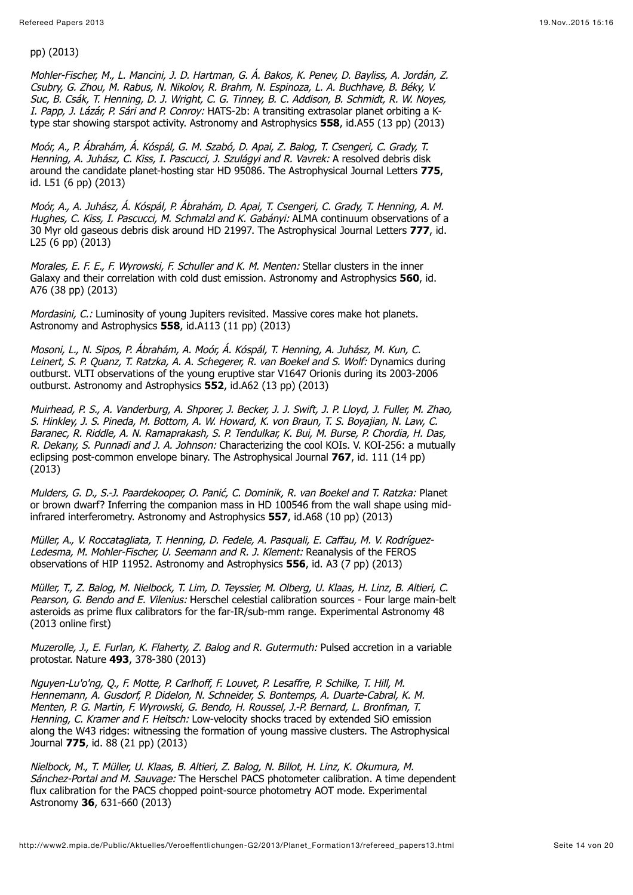pp) (2013)

Mohler-Fischer, M., L. Mancini, J. D. Hartman, G. Á. Bakos, K. Penev, D. Bayliss, A. Jordán, Z. Csubry, G. Zhou, M. Rabus, N. Nikolov, R. Brahm, N. Espinoza, L. A. Buchhave, B. Béky, V. Suc, B. Csák, T. Henning, D. J. Wright, C. G. Tinney, B. C. Addison, B. Schmidt, R. W. Noyes, I. Papp, J. Lázár, P. Sári and P. Conroy: HATS-2b: A transiting extrasolar planet orbiting a Ktype star showing starspot activity. Astronomy and Astrophysics **558**, id.A55 (13 pp) (2013)

Moór, A., P. Ábrahám, Á. Kóspál, G. M. Szabó, D. Apai, Z. Balog, T. Csengeri, C. Grady, T. Henning, A. Juhász, C. Kiss, I. Pascucci, J. Szulágyi and R. Vavrek: A resolved debris disk around the candidate planet-hosting star HD 95086. The Astrophysical Journal Letters **775**, id. L51 (6 pp) (2013)

Moór, A., A. Juhász, Á. Kóspál, P. Ábrahám, D. Apai, T. Csengeri, C. Grady, T. Henning, A. M. Hughes, C. Kiss, I. Pascucci, M. Schmalzl and K. Gabányi: ALMA continuum observations of a 30 Myr old gaseous debris disk around HD 21997. The Astrophysical Journal Letters **777**, id. L25 (6 pp) (2013)

Morales, E. F. E., F. Wyrowski, F. Schuller and K. M. Menten: Stellar clusters in the inner Galaxy and their correlation with cold dust emission. Astronomy and Astrophysics **560**, id. A76 (38 pp) (2013)

Mordasini, C.: Luminosity of young Jupiters revisited. Massive cores make hot planets. Astronomy and Astrophysics **558**, id.A113 (11 pp) (2013)

Mosoni, L., N. Sipos, P. Ábrahám, A. Moór, Á. Kóspál, T. Henning, A. Juhász, M. Kun, C. Leinert, S. P. Quanz, T. Ratzka, A. A. Schegerer, R. van Boekel and S. Wolf: Dynamics during outburst. VLTI observations of the young eruptive star V1647 Orionis during its 2003-2006 outburst. Astronomy and Astrophysics **552**, id.A62 (13 pp) (2013)

Muirhead, P. S., A. Vanderburg, A. Shporer, J. Becker, J. J. Swift, J. P. Lloyd, J. Fuller, M. Zhao, S. Hinkley, J. S. Pineda, M. Bottom, A. W. Howard, K. von Braun, T. S. Boyajian, N. Law, C. Baranec, R. Riddle, A. N. Ramaprakash, S. P. Tendulkar, K. Bui, M. Burse, P. Chordia, H. Das, R. Dekany, S. Punnadi and J. A. Johnson: Characterizing the cool KOIs. V. KOI-256: a mutually eclipsing post-common envelope binary. The Astrophysical Journal **767**, id. 111 (14 pp) (2013)

Mulders, G. D., S.-J. Paardekooper, O. Panić, C. Dominik, R. van Boekel and T. Ratzka: Planet or brown dwarf? Inferring the companion mass in HD 100546 from the wall shape using midinfrared interferometry. Astronomy and Astrophysics **557**, id.A68 (10 pp) (2013)

Müller, A., V. Roccatagliata, T. Henning, D. Fedele, A. Pasquali, E. Caffau, M. V. Rodríguez-Ledesma, M. Mohler-Fischer, U. Seemann and R. J. Klement: Reanalysis of the FEROS observations of HIP 11952. Astronomy and Astrophysics **556**, id. A3 (7 pp) (2013)

Müller, T., Z. Balog, M. Nielbock, T. Lim, D. Teyssier, M. Olberg, U. Klaas, H. Linz, B. Altieri, C. Pearson, G. Bendo and E. Vilenius: Herschel celestial calibration sources - Four large main-belt asteroids as prime flux calibrators for the far-IR/sub-mm range. Experimental Astronomy 48 (2013 online first)

Muzerolle, J., E. Furlan, K. Flaherty, Z. Balog and R. Gutermuth: Pulsed accretion in a variable protostar. Nature **493**, 378-380 (2013)

Nguyen-Lu'o'ng, Q., F. Motte, P. Carlhoff, F. Louvet, P. Lesaffre, P. Schilke, T. Hill, M. Hennemann, A. Gusdorf, P. Didelon, N. Schneider, S. Bontemps, A. Duarte-Cabral, K. M. Menten, P. G. Martin, F. Wyrowski, G. Bendo, H. Roussel, J.-P. Bernard, L. Bronfman, T. Henning, C. Kramer and F. Heitsch: Low-velocity shocks traced by extended SiO emission along the W43 ridges: witnessing the formation of young massive clusters. The Astrophysical Journal **775**, id. 88 (21 pp) (2013)

Nielbock, M., T. Müller, U. Klaas, B. Altieri, Z. Balog, N. Billot, H. Linz, K. Okumura, M. Sánchez-Portal and M. Sauvage: The Herschel PACS photometer calibration. A time dependent flux calibration for the PACS chopped point-source photometry AOT mode. Experimental Astronomy **36**, 631-660 (2013)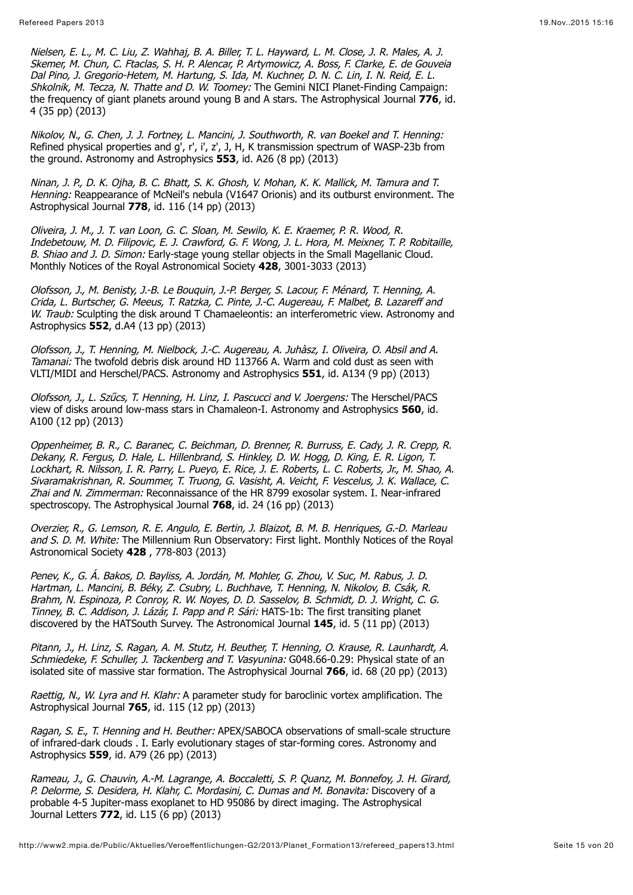Nielsen, E. L., M. C. Liu, Z. Wahhaj, B. A. Biller, T. L. Hayward, L. M. Close, J. R. Males, A. J. Skemer, M. Chun, C. Ftaclas, S. H. P. Alencar, P. Artymowicz, A. Boss, F. Clarke, E. de Gouveia Dal Pino, J. Gregorio-Hetem, M. Hartung, S. Ida, M. Kuchner, D. N. C. Lin, I. N. Reid, E. L. Shkolnik, M. Tecza, N. Thatte and D. W. Toomey: The Gemini NICI Planet-Finding Campaign: the frequency of giant planets around young B and A stars. The Astrophysical Journal 776, id. 4 (35 pp) (2013)

Nikolov, N., G. Chen, J. J. Fortney, L. Mancini, J. Southworth, R. van Boekel and T. Henning: Refined physical properties and  $q'$ , r', i', z', J, H, K transmission spectrum of WASP-23b from the ground. Astronomy and Astrophysics **553**, id. A26 (8 pp) (2013)

Ninan, J. P., D. K. Ojha, B. C. Bhatt, S. K. Ghosh, V. Mohan, K. K. Mallick, M. Tamura and T. Henning: Reappearance of McNeil's nebula (V1647 Orionis) and its outburst environment. The Astrophysical Journal **778**, id. 116 (14 pp) (2013)

Oliveira, J. M., J. T. van Loon, G. C. Sloan, M. Sewilo, K. E. Kraemer, P. R. Wood, R. Indebetouw, M. D. Filipovic, E. J. Crawford, G. F. Wong, J. L. Hora, M. Meixner, T. P. Robitaille, B. Shiao and J. D. Simon: Early-stage young stellar objects in the Small Magellanic Cloud. Monthly Notices of the Royal Astronomical Society **428**, 3001-3033 (2013)

Olofsson, J., M. Benisty, J.-B. Le Bouquin, J.-P. Berger, S. Lacour, F. Ménard, T. Henning, A. Crida, L. Burtscher, G. Meeus, T. Ratzka, C. Pinte, J.-C. Augereau, F. Malbet, B. Lazareff and W. Traub: Sculpting the disk around T Chamaeleontis: an interferometric view. Astronomy and Astrophysics **552**, d.A4 (13 pp) (2013)

Olofsson, J., T. Henning, M. Nielbock, J.-C. Augereau, A. Juhàsz, I. Oliveira, O. Absil and A. Tamanai: The twofold debris disk around HD 113766 A. Warm and cold dust as seen with VLTI/MIDI and Herschel/PACS. Astronomy and Astrophysics **551**, id. A134 (9 pp) (2013)

Olofsson, J., L. Szűcs, T. Henning, H. Linz, I. Pascucci and V. Joergens: The Herschel/PACS view of disks around low-mass stars in Chamaleon-I. Astronomy and Astrophysics **560**, id. A100 (12 pp) (2013)

Oppenheimer, B. R., C. Baranec, C. Beichman, D. Brenner, R. Burruss, E. Cady, J. R. Crepp, R. Dekany, R. Fergus, D. Hale, L. Hillenbrand, S. Hinkley, D. W. Hogg, D. King, E. R. Ligon, T. Lockhart, R. Nilsson, I. R. Parry, L. Pueyo, E. Rice, J. E. Roberts, L. C. Roberts, Jr., M. Shao, A. Sivaramakrishnan, R. Soummer, T. Truong, G. Vasisht, A. Veicht, F. Vescelus, J. K. Wallace, C. Zhai and N. Zimmerman: Reconnaissance of the HR 8799 exosolar system. I. Near-infrared spectroscopy. The Astrophysical Journal **768**, id. 24 (16 pp) (2013)

Overzier, R., G. Lemson, R. E. Angulo, E. Bertin, J. Blaizot, B. M. B. Henriques, G.-D. Marleau and S. D. M. White: The Millennium Run Observatory: First light. Monthly Notices of the Royal Astronomical Society **428** , 778-803 (2013)

Penev, K., G. Á. Bakos, D. Bayliss, A. Jordán, M. Mohler, G. Zhou, V. Suc, M. Rabus, J. D. Hartman, L. Mancini, B. Béky, Z. Csubry, L. Buchhave, T. Henning, N. Nikolov, B. Csák, R. Brahm, N. Espinoza, P. Conroy, R. W. Noyes, D. D. Sasselov, B. Schmidt, D. J. Wright, C. G. Tinney, B. C. Addison, J. Lázár, I. Papp and P. Sári: HATS-1b: The first transiting planet discovered by the HATSouth Survey. The Astronomical Journal **145**, id. 5 (11 pp) (2013)

Pitann, J., H. Linz, S. Ragan, A. M. Stutz, H. Beuther, T. Henning, O. Krause, R. Launhardt, A. Schmiedeke, F. Schuller, J. Tackenberg and T. Vasyunina: G048.66-0.29: Physical state of an isolated site of massive star formation. The Astrophysical Journal **766**, id. 68 (20 pp) (2013)

Raettig, N., W. Lyra and H. Klahr: A parameter study for baroclinic vortex amplification. The Astrophysical Journal **765**, id. 115 (12 pp) (2013)

Ragan, S. E., T. Henning and H. Beuther: APEX/SABOCA observations of small-scale structure of infrared-dark clouds . I. Early evolutionary stages of star-forming cores. Astronomy and Astrophysics **559**, id. A79 (26 pp) (2013)

Rameau, J., G. Chauvin, A.-M. Lagrange, A. Boccaletti, S. P. Quanz, M. Bonnefoy, J. H. Girard, P. Delorme, S. Desidera, H. Klahr, C. Mordasini, C. Dumas and M. Bonavita: Discovery of a probable 4-5 Jupiter-mass exoplanet to HD 95086 by direct imaging. The Astrophysical Journal Letters **772**, id. L15 (6 pp) (2013)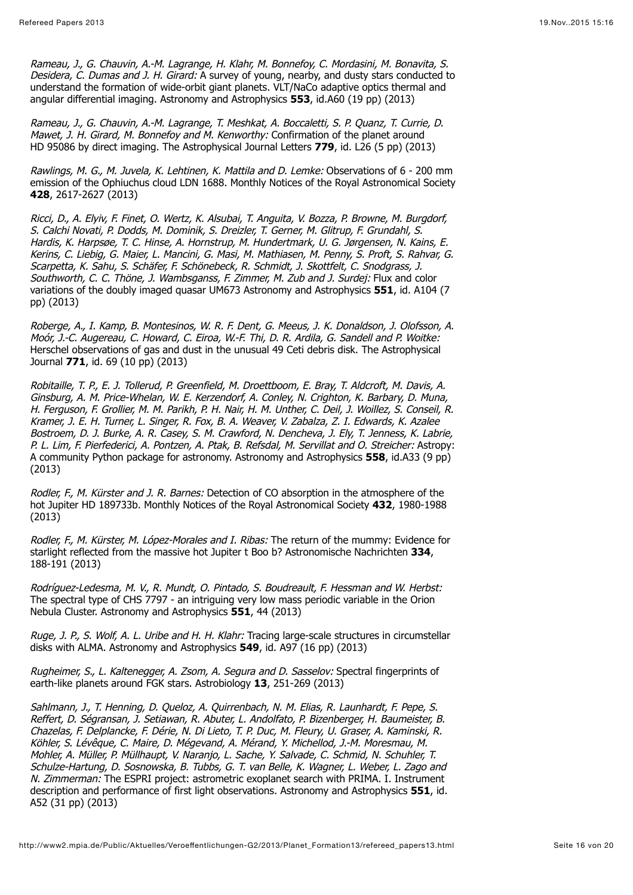Rameau, J., G. Chauvin, A.-M. Lagrange, H. Klahr, M. Bonnefoy, C. Mordasini, M. Bonavita, S. Desidera, C. Dumas and J. H. Girard: A survey of young, nearby, and dusty stars conducted to understand the formation of wide-orbit giant planets. VLT/NaCo adaptive optics thermal and angular differential imaging. Astronomy and Astrophysics **553**, id.A60 (19 pp) (2013)

Rameau, J., G. Chauvin, A.-M. Lagrange, T. Meshkat, A. Boccaletti, S. P. Quanz, T. Currie, D. Mawet, J. H. Girard, M. Bonnefov and M. Kenworthy: Confirmation of the planet around HD 95086 by direct imaging. The Astrophysical Journal Letters **779**, id. L26 (5 pp) (2013)

Rawlings, M. G., M. Juvela, K. Lehtinen, K. Mattila and D. Lemke: Observations of 6 - 200 mm emission of the Ophiuchus cloud LDN 1688. Monthly Notices of the Royal Astronomical Society **428**, 2617-2627 (2013)

Ricci, D., A. Elyiv, F. Finet, O. Wertz, K. Alsubai, T. Anguita, V. Bozza, P. Browne, M. Burgdorf, S. Calchi Novati, P. Dodds, M. Dominik, S. Dreizler, T. Gerner, M. Glitrup, F. Grundahl, S. Hardis, K. Harpsøe, T. C. Hinse, A. Hornstrup, M. Hundertmark, U. G. Jørgensen, N. Kains, E. Kerins, C. Liebig, G. Maier, L. Mancini, G. Masi, M. Mathiasen, M. Penny, S. Proft, S. Rahvar, G. Scarpetta, K. Sahu, S. Schäfer, F. Schönebeck, R. Schmidt, J. Skottfelt, C. Snodgrass, J. Southworth, C. C. Thöne, J. Wambsganss, F. Zimmer, M. Zub and J. Surdej: Flux and color variations of the doubly imaged quasar UM673 Astronomy and Astrophysics **551**, id. A104 (7 pp) (2013)

Roberge, A., I. Kamp, B. Montesinos, W. R. F. Dent, G. Meeus, J. K. Donaldson, J. Olofsson, A. Moór, J.-C. Augereau, C. Howard, C. Eiroa, W.-F. Thi, D. R. Ardila, G. Sandell and P. Woitke: Herschel observations of gas and dust in the unusual 49 Ceti debris disk. The Astrophysical Journal **771**, id. 69 (10 pp) (2013)

Robitaille, T. P., E. J. Tollerud, P. Greenfield, M. Droettboom, E. Bray, T. Aldcroft, M. Davis, A. Ginsburg, A. M. Price-Whelan, W. E. Kerzendorf, A. Conley, N. Crighton, K. Barbary, D. Muna, H. Ferguson, F. Grollier, M. M. Parikh, P. H. Nair, H. M. Unther, C. Deil, J. Woillez, S. Conseil, R. Kramer, J. E. H. Turner, L. Singer, R. Fox, B. A. Weaver, V. Zabalza, Z. I. Edwards, K. Azalee Bostroem, D. J. Burke, A. R. Casey, S. M. Crawford, N. Dencheva, J. Ely, T. Jenness, K. Labrie, P. L. Lim, F. Pierfederici, A. Pontzen, A. Ptak, B. Refsdal, M. Servillat and O. Streicher: Astropy: A community Python package for astronomy. Astronomy and Astrophysics **558**, id.A33 (9 pp) (2013)

Rodler, F., M. Kürster and J. R. Barnes: Detection of CO absorption in the atmosphere of the hot Jupiter HD 189733b. Monthly Notices of the Royal Astronomical Society **432**, 1980-1988 (2013)

Rodler, F., M. Kürster, M. López-Morales and I. Ribas: The return of the mummy: Evidence for starlight reflected from the massive hot Jupiter t Boo b? Astronomische Nachrichten **334**, 188-191 (2013)

Rodríguez-Ledesma, M. V., R. Mundt, O. Pintado, S. Boudreault, F. Hessman and W. Herbst: The spectral type of CHS 7797 - an intriguing very low mass periodic variable in the Orion Nebula Cluster. Astronomy and Astrophysics **551**, 44 (2013)

Ruge, J. P., S. Wolf, A. L. Uribe and H. H. Klahr: Tracing large-scale structures in circumstellar disks with ALMA. Astronomy and Astrophysics **549**, id. A97 (16 pp) (2013)

Rugheimer, S., L. Kaltenegger, A. Zsom, A. Segura and D. Sasselov: Spectral fingerprints of earth-like planets around FGK stars. Astrobiology **13**, 251-269 (2013)

Sahlmann, J., T. Henning, D. Queloz, A. Quirrenbach, N. M. Elias, R. Launhardt, F. Pepe, S. Reffert, D. Ségransan, J. Setiawan, R. Abuter, L. Andolfato, P. Bizenberger, H. Baumeister, B. Chazelas, F. Delplancke, F. Dérie, N. Di Lieto, T. P. Duc, M. Fleury, U. Graser, A. Kaminski, R. Köhler, S. Lévêque, C. Maire, D. Mégevand, A. Mérand, Y. Michellod, J.-M. Moresmau, M. Mohler, A. Müller, P. Müllhaupt, V. Naranjo, L. Sache, Y. Salvade, C. Schmid, N. Schuhler, T. Schulze-Hartung, D. Sosnowska, B. Tubbs, G. T. van Belle, K. Wagner, L. Weber, L. Zago and N. Zimmerman: The ESPRI project: astrometric exoplanet search with PRIMA. I. Instrument description and performance of first light observations. Astronomy and Astrophysics **551**, id. A52 (31 pp) (2013)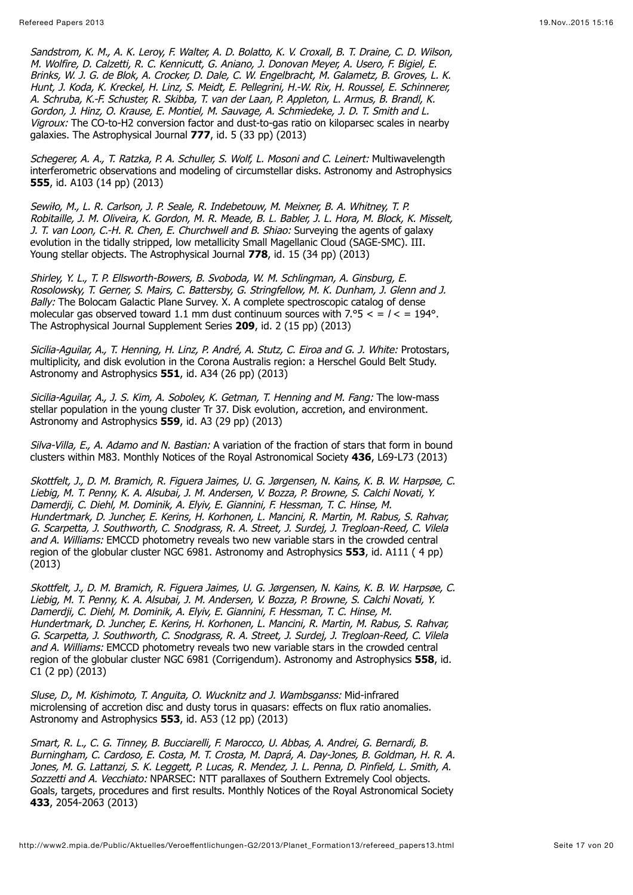Sandstrom, K. M., A. K. Leroy, F. Walter, A. D. Bolatto, K. V. Croxall, B. T. Draine, C. D. Wilson, M. Wolfire, D. Calzetti, R. C. Kennicutt, G. Aniano, J. Donovan Meyer, A. Usero, F. Bigiel, E. Brinks, W. J. G. de Blok, A. Crocker, D. Dale, C. W. Engelbracht, M. Galametz, B. Groves, L. K. Hunt, J. Koda, K. Kreckel, H. Linz, S. Meidt, E. Pellegrini, H.-W. Rix, H. Roussel, E. Schinnerer, A. Schruba, K.-F. Schuster, R. Skibba, T. van der Laan, P. Appleton, L. Armus, B. Brandl, K. Gordon, J. Hinz, O. Krause, E. Montiel, M. Sauvage, A. Schmiedeke, J. D. T. Smith and L. Vigroux: The CO-to-H2 conversion factor and dust-to-gas ratio on kiloparsec scales in nearby galaxies. The Astrophysical Journal **777**, id. 5 (33 pp) (2013)

Schegerer, A. A., T. Ratzka, P. A. Schuller, S. Wolf, L. Mosoni and C. Leinert: Multiwavelength interferometric observations and modeling of circumstellar disks. Astronomy and Astrophysics **555**, id. A103 (14 pp) (2013)

Sewiło, M., L. R. Carlson, J. P. Seale, R. Indebetouw, M. Meixner, B. A. Whitney, T. P. Robitaille, J. M. Oliveira, K. Gordon, M. R. Meade, B. L. Babler, J. L. Hora, M. Block, K. Misselt, J. T. van Loon, C.-H. R. Chen, E. Churchwell and B. Shiao: Surveying the agents of galaxy evolution in the tidally stripped, low metallicity Small Magellanic Cloud (SAGE-SMC). III. Young stellar objects. The Astrophysical Journal **778**, id. 15 (34 pp) (2013)

Shirley, Y. L., T. P. Ellsworth-Bowers, B. Svoboda, W. M. Schlingman, A. Ginsburg, E. Rosolowsky, T. Gerner, S. Mairs, C. Battersby, G. Stringfellow, M. K. Dunham, J. Glenn and J. Bally: The Bolocam Galactic Plane Survey. X. A complete spectroscopic catalog of dense molecular gas observed toward 1.1 mm dust continuum sources with 7.°5  $\lt$  =  $\ell$  < = 194°. The Astrophysical Journal Supplement Series **209**, id. 2 (15 pp) (2013)

Sicilia-Aguilar, A., T. Henning, H. Linz, P. André, A. Stutz, C. Eiroa and G. J. White: Protostars, multiplicity, and disk evolution in the Corona Australis region: a Herschel Gould Belt Study. Astronomy and Astrophysics **551**, id. A34 (26 pp) (2013)

Sicilia-Aguilar, A., J. S. Kim, A. Sobolev, K. Getman, T. Henning and M. Fang: The low-mass stellar population in the young cluster Tr 37. Disk evolution, accretion, and environment. Astronomy and Astrophysics **559**, id. A3 (29 pp) (2013)

Silva-Villa, E., A. Adamo and N. Bastian: A variation of the fraction of stars that form in bound clusters within M83. Monthly Notices of the Royal Astronomical Society **436**, L69-L73 (2013)

Skottfelt, J., D. M. Bramich, R. Figuera Jaimes, U. G. Jørgensen, N. Kains, K. B. W. Harpsøe, C. Liebig, M. T. Penny, K. A. Alsubai, J. M. Andersen, V. Bozza, P. Browne, S. Calchi Novati, Y. Damerdji, C. Diehl, M. Dominik, A. Elyiv, E. Giannini, F. Hessman, T. C. Hinse, M. Hundertmark, D. Juncher, E. Kerins, H. Korhonen, L. Mancini, R. Martin, M. Rabus, S. Rahvar, G. Scarpetta, J. Southworth, C. Snodgrass, R. A. Street, J. Surdej, J. Tregloan-Reed, C. Vilela and A. Williams: EMCCD photometry reveals two new variable stars in the crowded central region of the globular cluster NGC 6981. Astronomy and Astrophysics **553**, id. A111 ( 4 pp) (2013)

Skottfelt, J., D. M. Bramich, R. Figuera Jaimes, U. G. Jørgensen, N. Kains, K. B. W. Harpsøe, C. Liebig, M. T. Penny, K. A. Alsubai, J. M. Andersen, V. Bozza, P. Browne, S. Calchi Novati, Y. Damerdji, C. Diehl, M. Dominik, A. Elyiv, E. Giannini, F. Hessman, T. C. Hinse, M. Hundertmark, D. Juncher, E. Kerins, H. Korhonen, L. Mancini, R. Martin, M. Rabus, S. Rahvar, G. Scarpetta, J. Southworth, C. Snodgrass, R. A. Street, J. Surdej, J. Tregloan-Reed, C. Vilela and A. Williams: EMCCD photometry reveals two new variable stars in the crowded central region of the globular cluster NGC 6981 (Corrigendum). Astronomy and Astrophysics **558**, id.  $C1$  (2 pp) (2013)

Sluse, D., M. Kishimoto, T. Anguita, O. Wucknitz and J. Wambsganss: Mid-infrared microlensing of accretion disc and dusty torus in quasars: effects on flux ratio anomalies. Astronomy and Astrophysics **553**, id. A53 (12 pp) (2013)

Smart, R. L., C. G. Tinney, B. Bucciarelli, F. Marocco, U. Abbas, A. Andrei, G. Bernardi, B. Burningham, C. Cardoso, E. Costa, M. T. Crosta, M. Daprá, A. Day-Jones, B. Goldman, H. R. A. Jones, M. G. Lattanzi, S. K. Leggett, P. Lucas, R. Mendez, J. L. Penna, D. Pinfield, L. Smith, A. Sozzetti and A. Vecchiato: NPARSEC: NTT parallaxes of Southern Extremely Cool objects. Goals, targets, procedures and first results. Monthly Notices of the Royal Astronomical Society **433**, 2054-2063 (2013)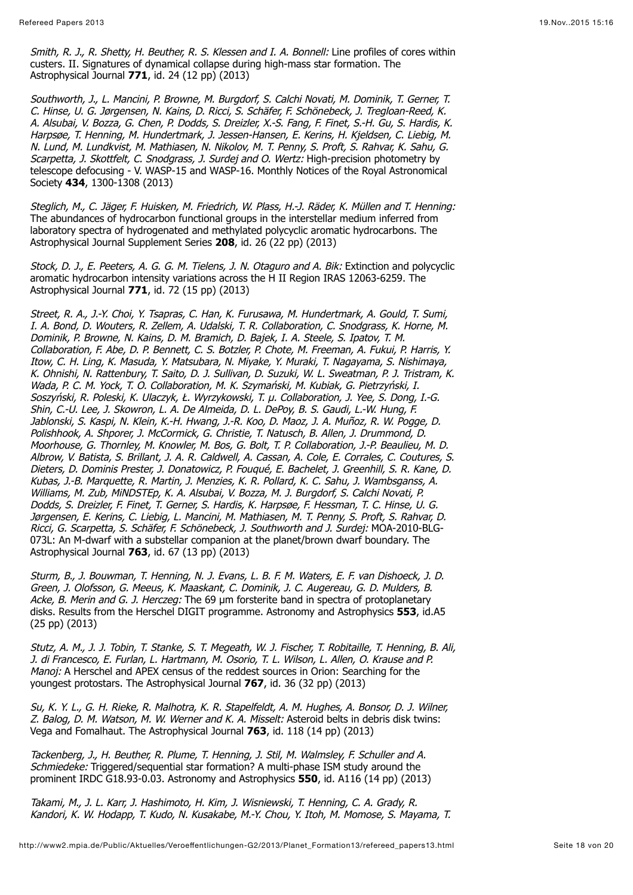Smith, R. J., R. Shetty, H. Beuther, R. S. Klessen and I. A. Bonnell: Line profiles of cores within custers. II. Signatures of dynamical collapse during high-mass star formation. The Astrophysical Journal **771**, id. 24 (12 pp) (2013)

Southworth, J., L. Mancini, P. Browne, M. Burgdorf, S. Calchi Novati, M. Dominik, T. Gerner, T. C. Hinse, U. G. Jørgensen, N. Kains, D. Ricci, S. Schäfer, F. Schönebeck, J. Tregloan-Reed, K. A. Alsubai, V. Bozza, G. Chen, P. Dodds, S. Dreizler, X.-S. Fang, F. Finet, S.-H. Gu, S. Hardis, K. Harpsøe, T. Henning, M. Hundertmark, J. Jessen-Hansen, E. Kerins, H. Kjeldsen, C. Liebig, M. N. Lund, M. Lundkvist, M. Mathiasen, N. Nikolov, M. T. Penny, S. Proft, S. Rahvar, K. Sahu, G. Scarpetta, J. Skottfelt, C. Snodgrass, J. Surdej and O. Wertz: High-precision photometry by telescope defocusing - V. WASP-15 and WASP-16. Monthly Notices of the Royal Astronomical Society **434**, 1300-1308 (2013)

Steglich, M., C. Jäger, F. Huisken, M. Friedrich, W. Plass, H.-J. Räder, K. Müllen and T. Henning: The abundances of hydrocarbon functional groups in the interstellar medium inferred from laboratory spectra of hydrogenated and methylated polycyclic aromatic hydrocarbons. The Astrophysical Journal Supplement Series **208**, id. 26 (22 pp) (2013)

Stock, D. J., E. Peeters, A. G. G. M. Tielens, J. N. Otaguro and A. Bik: Extinction and polycyclic aromatic hydrocarbon intensity variations across the H II Region IRAS 12063-6259. The Astrophysical Journal **771**, id. 72 (15 pp) (2013)

Street, R. A., J.-Y. Choi, Y. Tsapras, C. Han, K. Furusawa, M. Hundertmark, A. Gould, T. Sumi, I. A. Bond, D. Wouters, R. Zellem, A. Udalski, T. R. Collaboration, C. Snodgrass, K. Horne, M. Dominik, P. Browne, N. Kains, D. M. Bramich, D. Bajek, I. A. Steele, S. Ipatov, T. M. Collaboration, F. Abe, D. P. Bennett, C. S. Botzler, P. Chote, M. Freeman, A. Fukui, P. Harris, Y. Itow, C. H. Ling, K. Masuda, Y. Matsubara, N. Miyake, Y. Muraki, T. Nagayama, S. Nishimaya, K. Ohnishi, N. Rattenbury, T. Saito, D. J. Sullivan, D. Suzuki, W. L. Sweatman, P. J. Tristram, K. Wada, P. C. M. Yock, T. O. Collaboration, M. K. Szymański, M. Kubiak, G. Pietrzyński, I. Soszyński, R. Poleski, K. Ulaczyk, Ł. Wyrzykowski, T. µ. Collaboration, J. Yee, S. Dong, I.-G. Shin, C.-U. Lee, J. Skowron, L. A. De Almeida, D. L. DePoy, B. S. Gaudi, L.-W. Hung, F. Jablonski, S. Kaspi, N. Klein, K.-H. Hwang, J.-R. Koo, D. Maoz, J. A. Muñoz, R. W. Pogge, D. Polishhook, A. Shporer, J. McCormick, G. Christie, T. Natusch, B. Allen, J. Drummond, D. Moorhouse, G. Thornley, M. Knowler, M. Bos, G. Bolt, T. P. Collaboration, J.-P. Beaulieu, M. D. Albrow, V. Batista, S. Brillant, J. A. R. Caldwell, A. Cassan, A. Cole, E. Corrales, C. Coutures, S. Dieters, D. Dominis Prester, J. Donatowicz, P. Fouqué, E. Bachelet, J. Greenhill, S. R. Kane, D. Kubas, J.-B. Marquette, R. Martin, J. Menzies, K. R. Pollard, K. C. Sahu, J. Wambsganss, A. Williams, M. Zub, MiNDSTEp, K. A. Alsubai, V. Bozza, M. J. Burgdorf, S. Calchi Novati, P. Dodds, S. Dreizler, F. Finet, T. Gerner, S. Hardis, K. Harpsøe, F. Hessman, T. C. Hinse, U. G. Jørgensen, E. Kerins, C. Liebig, L. Mancini, M. Mathiasen, M. T. Penny, S. Proft, S. Rahvar, D. Ricci, G. Scarpetta, S. Schäfer, F. Schönebeck, J. Southworth and J. Surdej: MOA-2010-BLG-073L: An M-dwarf with a substellar companion at the planet/brown dwarf boundary. The Astrophysical Journal **763**, id. 67 (13 pp) (2013)

Sturm, B., J. Bouwman, T. Henning, N. J. Evans, L. B. F. M. Waters, E. F. van Dishoeck, J. D. Green, J. Olofsson, G. Meeus, K. Maaskant, C. Dominik, J. C. Augereau, G. D. Mulders, B. Acke, B. Merin and G. J. Herczeg: The 69 um forsterite band in spectra of protoplanetary disks. Results from the Herschel DIGIT programme. Astronomy and Astrophysics **553**, id.A5 (25 pp) (2013)

Stutz, A. M., J. J. Tobin, T. Stanke, S. T. Megeath, W. J. Fischer, T. Robitaille, T. Henning, B. Ali, J. di Francesco, E. Furlan, L. Hartmann, M. Osorio, T. L. Wilson, L. Allen, O. Krause and P. Manoi: A Herschel and APEX census of the reddest sources in Orion: Searching for the youngest protostars. The Astrophysical Journal **767**, id. 36 (32 pp) (2013)

Su, K. Y. L., G. H. Rieke, R. Malhotra, K. R. Stapelfeldt, A. M. Hughes, A. Bonsor, D. J. Wilner, Z. Balog, D. M. Watson, M. W. Werner and K. A. Misselt: Asteroid belts in debris disk twins: Vega and Fomalhaut. The Astrophysical Journal **763**, id. 118 (14 pp) (2013)

Tackenberg, J., H. Beuther, R. Plume, T. Henning, J. Stil, M. Walmsley, F. Schuller and A. Schmiedeke: Triggered/sequential star formation? A multi-phase ISM study around the prominent IRDC G18.93-0.03. Astronomy and Astrophysics **550**, id. A116 (14 pp) (2013)

Takami, M., J. L. Karr, J. Hashimoto, H. Kim, J. Wisniewski, T. Henning, C. A. Grady, R. Kandori, K. W. Hodapp, T. Kudo, N. Kusakabe, M.-Y. Chou, Y. Itoh, M. Momose, S. Mayama, T.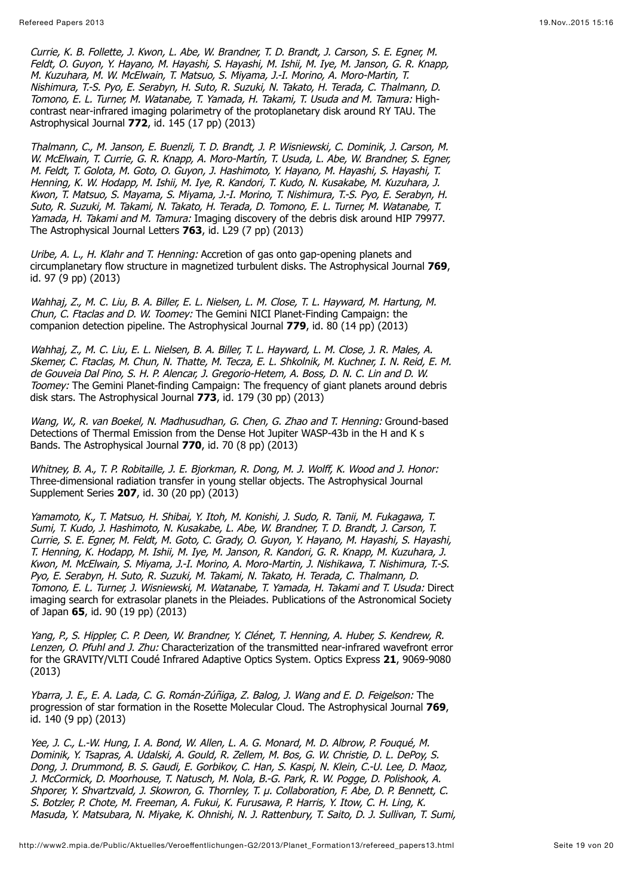Currie, K. B. Follette, J. Kwon, L. Abe, W. Brandner, T. D. Brandt, J. Carson, S. E. Egner, M. Feldt, O. Guyon, Y. Hayano, M. Hayashi, S. Hayashi, M. Ishii, M. Iye, M. Janson, G. R. Knapp, M. Kuzuhara, M. W. McElwain, T. Matsuo, S. Miyama, J.-I. Morino, A. Moro-Martin, T. Nishimura, T.-S. Pyo, E. Serabyn, H. Suto, R. Suzuki, N. Takato, H. Terada, C. Thalmann, D. Tomono, E. L. Turner, M. Watanabe, T. Yamada, H. Takami, T. Usuda and M. Tamura: Highcontrast near-infrared imaging polarimetry of the protoplanetary disk around RY TAU. The Astrophysical Journal **772**, id. 145 (17 pp) (2013)

Thalmann, C., M. Janson, E. Buenzli, T. D. Brandt, J. P. Wisniewski, C. Dominik, J. Carson, M. W. McElwain, T. Currie, G. R. Knapp, A. Moro-Martín, T. Usuda, L. Abe, W. Brandner, S. Egner, M. Feldt, T. Golota, M. Goto, O. Guyon, J. Hashimoto, Y. Hayano, M. Hayashi, S. Hayashi, T. Henning, K. W. Hodapp, M. Ishii, M. Iye, R. Kandori, T. Kudo, N. Kusakabe, M. Kuzuhara, J. Kwon, T. Matsuo, S. Mayama, S. Miyama, J.-I. Morino, T. Nishimura, T.-S. Pyo, E. Serabyn, H. Suto, R. Suzuki, M. Takami, N. Takato, H. Terada, D. Tomono, E. L. Turner, M. Watanabe, T. Yamada, H. Takami and M. Tamura: Imaging discovery of the debris disk around HIP 79977. The Astrophysical Journal Letters **763**, id. L29 (7 pp) (2013)

Uribe, A. L., H. Klahr and T. Henning: Accretion of gas onto gap-opening planets and circumplanetary flow structure in magnetized turbulent disks. The Astrophysical Journal **769**, id. 97 (9 pp) (2013)

Wahhaj, Z., M. C. Liu, B. A. Biller, E. L. Nielsen, L. M. Close, T. L. Hayward, M. Hartung, M. Chun, C. Ftaclas and D. W. Toomey: The Gemini NICI Planet-Finding Campaign: the companion detection pipeline. The Astrophysical Journal **779**, id. 80 (14 pp) (2013)

Wahhaj, Z., M. C. Liu, E. L. Nielsen, B. A. Biller, T. L. Hayward, L. M. Close, J. R. Males, A. Skemer, C. Ftaclas, M. Chun, N. Thatte, M. Tecza, E. L. Shkolnik, M. Kuchner, I. N. Reid, E. M. de Gouveia Dal Pino, S. H. P. Alencar, J. Gregorio-Hetem, A. Boss, D. N. C. Lin and D. W. Toomey: The Gemini Planet-finding Campaign: The frequency of giant planets around debris disk stars. The Astrophysical Journal **773**, id. 179 (30 pp) (2013)

Wang, W., R. van Boekel, N. Madhusudhan, G. Chen, G. Zhao and T. Henning: Ground-based Detections of Thermal Emission from the Dense Hot Jupiter WASP-43b in the H and K s Bands. The Astrophysical Journal **770**, id. 70 (8 pp) (2013)

Whitney, B. A., T. P. Robitaille, J. E. Biorkman, R. Dong, M. J. Wolff, K. Wood and J. Honor: Three-dimensional radiation transfer in young stellar objects. The Astrophysical Journal Supplement Series **207**, id. 30 (20 pp) (2013)

Yamamoto, K., T. Matsuo, H. Shibai, Y. Itoh, M. Konishi, J. Sudo, R. Tanii, M. Fukagawa, T. Sumi, T. Kudo, J. Hashimoto, N. Kusakabe, L. Abe, W. Brandner, T. D. Brandt, J. Carson, T. Currie, S. E. Egner, M. Feldt, M. Goto, C. Grady, O. Guyon, Y. Hayano, M. Hayashi, S. Hayashi, T. Henning, K. Hodapp, M. Ishii, M. Iye, M. Janson, R. Kandori, G. R. Knapp, M. Kuzuhara, J. Kwon, M. McElwain, S. Miyama, J.-I. Morino, A. Moro-Martin, J. Nishikawa, T. Nishimura, T.-S. Pyo, E. Serabyn, H. Suto, R. Suzuki, M. Takami, N. Takato, H. Terada, C. Thalmann, D. Tomono, E. L. Turner, J. Wisniewski, M. Watanabe, T. Yamada, H. Takami and T. Usuda: Direct imaging search for extrasolar planets in the Pleiades. Publications of the Astronomical Society of Japan **65**, id. 90 (19 pp) (2013)

Yang, P., S. Hippler, C. P. Deen, W. Brandner, Y. Clénet, T. Henning, A. Huber, S. Kendrew, R. Lenzen, O. Pfuhl and J. Zhu: Characterization of the transmitted near-infrared wavefront error for the GRAVITY/VLTI Coudé Infrared Adaptive Optics System. Optics Express **21**, 9069-9080 (2013)

Ybarra, J. E., E. A. Lada, C. G. Román-Zúñiga, Z. Balog, J. Wang and E. D. Feigelson: The progression of star formation in the Rosette Molecular Cloud. The Astrophysical Journal **769**, id. 140 (9 pp) (2013)

Yee, J. C., L.-W. Hung, I. A. Bond, W. Allen, L. A. G. Monard, M. D. Albrow, P. Fouqué, M. Dominik, Y. Tsapras, A. Udalski, A. Gould, R. Zellem, M. Bos, G. W. Christie, D. L. DePoy, S. Dong, J. Drummond, B. S. Gaudi, E. Gorbikov, C. Han, S. Kaspi, N. Klein, C.-U. Lee, D. Maoz, J. McCormick, D. Moorhouse, T. Natusch, M. Nola, B.-G. Park, R. W. Pogge, D. Polishook, A. Shporer, Y. Shvartzvald, J. Skowron, G. Thornley, T. µ. Collaboration, F. Abe, D. P. Bennett, C. S. Botzler, P. Chote, M. Freeman, A. Fukui, K. Furusawa, P. Harris, Y. Itow, C. H. Ling, K. Masuda, Y. Matsubara, N. Miyake, K. Ohnishi, N. J. Rattenbury, T. Saito, D. J. Sullivan, T. Sumi,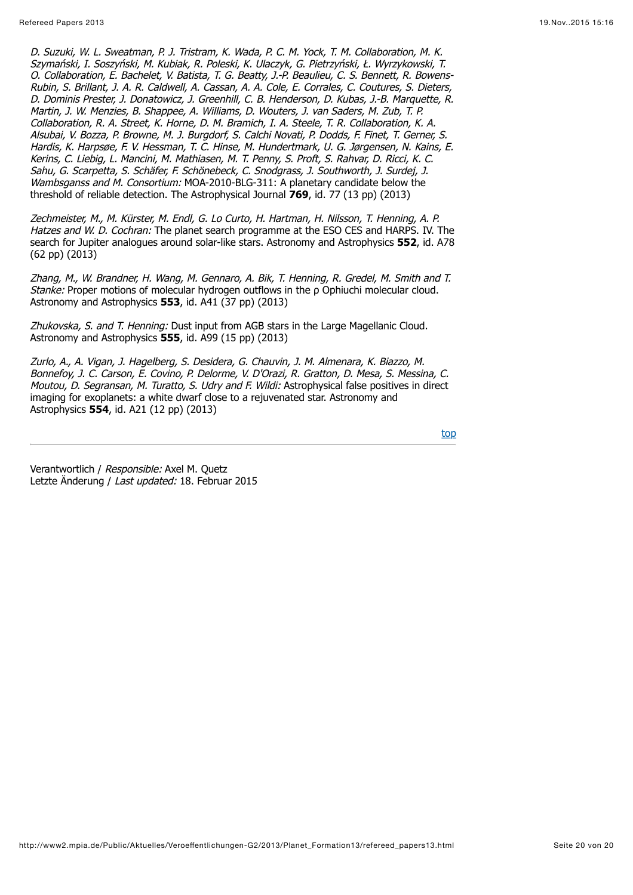D. Suzuki, W. L. Sweatman, P. J. Tristram, K. Wada, P. C. M. Yock, T. M. Collaboration, M. K. Szymański, I. Soszyński, M. Kubiak, R. Poleski, K. Ulaczyk, G. Pietrzyński, Ł. Wyrzykowski, T. O. Collaboration, E. Bachelet, V. Batista, T. G. Beatty, J.-P. Beaulieu, C. S. Bennett, R. Bowens-Rubin, S. Brillant, J. A. R. Caldwell, A. Cassan, A. A. Cole, E. Corrales, C. Coutures, S. Dieters, D. Dominis Prester, J. Donatowicz, J. Greenhill, C. B. Henderson, D. Kubas, J.-B. Marquette, R. Martin, J. W. Menzies, B. Shappee, A. Williams, D. Wouters, J. van Saders, M. Zub, T. P. Collaboration, R. A. Street, K. Horne, D. M. Bramich, I. A. Steele, T. R. Collaboration, K. A. Alsubai, V. Bozza, P. Browne, M. J. Burgdorf, S. Calchi Novati, P. Dodds, F. Finet, T. Gerner, S. Hardis, K. Harpsøe, F. V. Hessman, T. C. Hinse, M. Hundertmark, U. G. Jørgensen, N. Kains, E. Kerins, C. Liebig, L. Mancini, M. Mathiasen, M. T. Penny, S. Proft, S. Rahvar, D. Ricci, K. C. Sahu, G. Scarpetta, S. Schäfer, F. Schönebeck, C. Snodgrass, J. Southworth, J. Surdej, J. Wambsganss and M. Consortium: MOA-2010-BLG-311: A planetary candidate below the threshold of reliable detection. The Astrophysical Journal **769**, id. 77 (13 pp) (2013)

Zechmeister, M., M. Kürster, M. Endl, G. Lo Curto, H. Hartman, H. Nilsson, T. Henning, A. P. Hatzes and W. D. Cochran: The planet search programme at the ESO CES and HARPS. IV. The search for Jupiter analogues around solar-like stars. Astronomy and Astrophysics **552**, id. A78 (62 pp) (2013)

Zhang, M., W. Brandner, H. Wang, M. Gennaro, A. Bik, T. Henning, R. Gredel, M. Smith and T. Stanke: Proper motions of molecular hydrogen outflows in the ρ Ophiuchi molecular cloud. Astronomy and Astrophysics **553**, id. A41 (37 pp) (2013)

Zhukovska, S. and T. Henning: Dust input from AGB stars in the Large Magellanic Cloud. Astronomy and Astrophysics **555**, id. A99 (15 pp) (2013)

Zurlo, A., A. Vigan, J. Hagelberg, S. Desidera, G. Chauvin, J. M. Almenara, K. Biazzo, M. Bonnefoy, J. C. Carson, E. Covino, P. Delorme, V. D'Orazi, R. Gratton, D. Mesa, S. Messina, C. Moutou, D. Segransan, M. Turatto, S. Udry and F. Wildi: Astrophysical false positives in direct imaging for exoplanets: a white dwarf close to a rejuvenated star. Astronomy and Astrophysics **554**, id. A21 (12 pp) (2013)

[top](http://www2.mpia.de/Public/Aktuelles/Veroeffentlichungen-G2/2013/Planet_Formation13/refereed_papers13.html#top)

Verantwortlich / Responsible: Axel M. Quetz Letzte Änderung / Last updated: 18. Februar 2015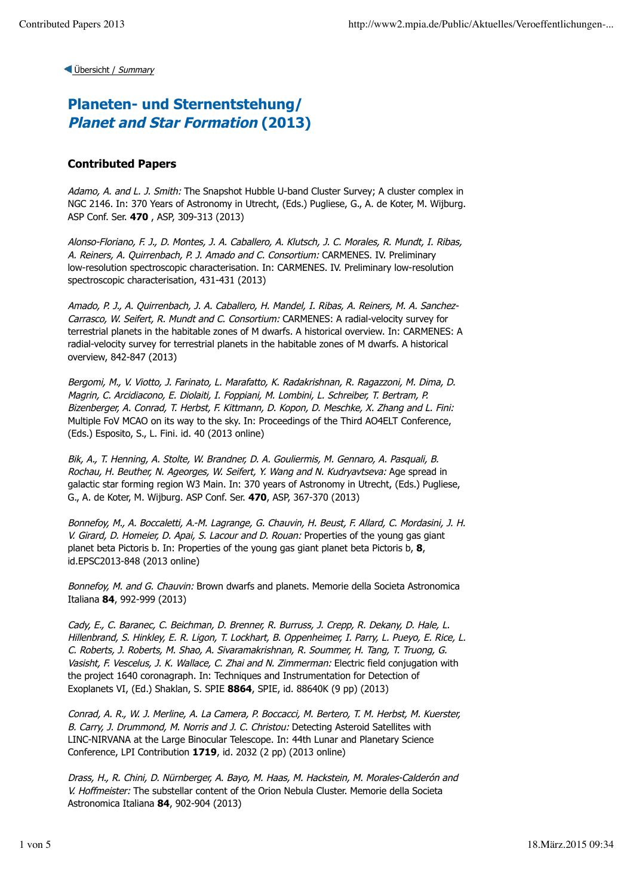## **Planeten- und Sternentstehung/ Planet and Star Formation (2013)**

### **Contributed Papers**

Adamo, A. and L. J. Smith: The Snapshot Hubble U-band Cluster Survey: A cluster complex in NGC 2146. In: 370 Years of Astronomy in Utrecht, (Eds.) Pugliese, G., A. de Koter, M. Wijburg. ASP Conf. Ser. **470** , ASP, 309-313 (2013)

Alonso-Floriano, F. J., D. Montes, J. A. Caballero, A. Klutsch, J. C. Morales, R. Mundt, I. Ribas, A. Reiners, A. Quirrenbach, P. J. Amado and C. Consortium: CARMENES. IV. Preliminary low-resolution spectroscopic characterisation. In: CARMENES. IV. Preliminary low-resolution spectroscopic characterisation, 431-431 (2013)

Amado, P. J., A. Quirrenbach, J. A. Caballero, H. Mandel, I. Ribas, A. Reiners, M. A. Sanchez-Carrasco, W. Seifert, R. Mundt and C. Consortium: CARMENES: A radial-velocity survey for terrestrial planets in the habitable zones of M dwarfs. A historical overview. In: CARMENES: A radial-velocity survey for terrestrial planets in the habitable zones of M dwarfs. A historical overview, 842-847 (2013)

Bergomi, M., V. Viotto, J. Farinato, L. Marafatto, K. Radakrishnan, R. Ragazzoni, M. Dima, D. Magrin, C. Arcidiacono, E. Diolaiti, I. Foppiani, M. Lombini, L. Schreiber, T. Bertram, P. Bizenberger, A. Conrad, T. Herbst, F. Kittmann, D. Kopon, D. Meschke, X. Zhang and L. Fini: Multiple FoV MCAO on its way to the sky. In: Proceedings of the Third AO4ELT Conference, (Eds.) Esposito, S., L. Fini. id. 40 (2013 online)

Bik, A., T. Henning, A. Stolte, W. Brandner, D. A. Gouliermis, M. Gennaro, A. Pasquali, B. Rochau, H. Beuther, N. Ageorges, W. Seifert, Y. Wang and N. Kudryavtseva: Age spread in galactic star forming region W3 Main. In: 370 years of Astronomy in Utrecht, (Eds.) Pugliese, G., A. de Koter, M. Wijburg. ASP Conf. Ser. **470**, ASP, 367-370 (2013)

Bonnefoy, M., A. Boccaletti, A.-M. Lagrange, G. Chauvin, H. Beust, F. Allard, C. Mordasini, J. H. V. Girard, D. Homeier, D. Apai, S. Lacour and D. Rouan: Properties of the young gas giant planet beta Pictoris b. In: Properties of the young gas giant planet beta Pictoris b, **8**, id.EPSC2013-848 (2013 online)

Bonnefoy, M. and G. Chauvin: Brown dwarfs and planets. Memorie della Societa Astronomica Italiana **84**, 992-999 (2013)

Cady, E., C. Baranec, C. Beichman, D. Brenner, R. Burruss, J. Crepp, R. Dekany, D. Hale, L. Hillenbrand, S. Hinkley, E. R. Ligon, T. Lockhart, B. Oppenheimer, I. Parry, L. Pueyo, E. Rice, L. C. Roberts, J. Roberts, M. Shao, A. Sivaramakrishnan, R. Soummer, H. Tang, T. Truong, G. Vasisht, F. Vescelus, J. K. Wallace, C. Zhai and N. Zimmerman: Electric field conjugation with the project 1640 coronagraph. In: Techniques and Instrumentation for Detection of Exoplanets VI, (Ed.) Shaklan, S. SPIE **8864**, SPIE, id. 88640K (9 pp) (2013)

Conrad, A. R., W. J. Merline, A. La Camera, P. Boccacci, M. Bertero, T. M. Herbst, M. Kuerster, B. Carry, J. Drummond, M. Norris and J. C. Christou: Detecting Asteroid Satellites with LINC-NIRVANA at the Large Binocular Telescope. In: 44th Lunar and Planetary Science Conference, LPI Contribution **1719**, id. 2032 (2 pp) (2013 online)

Drass, H., R. Chini, D. Nürnberger, A. Bayo, M. Haas, M. Hackstein, M. Morales-Calderón and V. Hoffmeister: The substellar content of the Orion Nebula Cluster. Memorie della Societa Astronomica Italiana **84**, 902-904 (2013)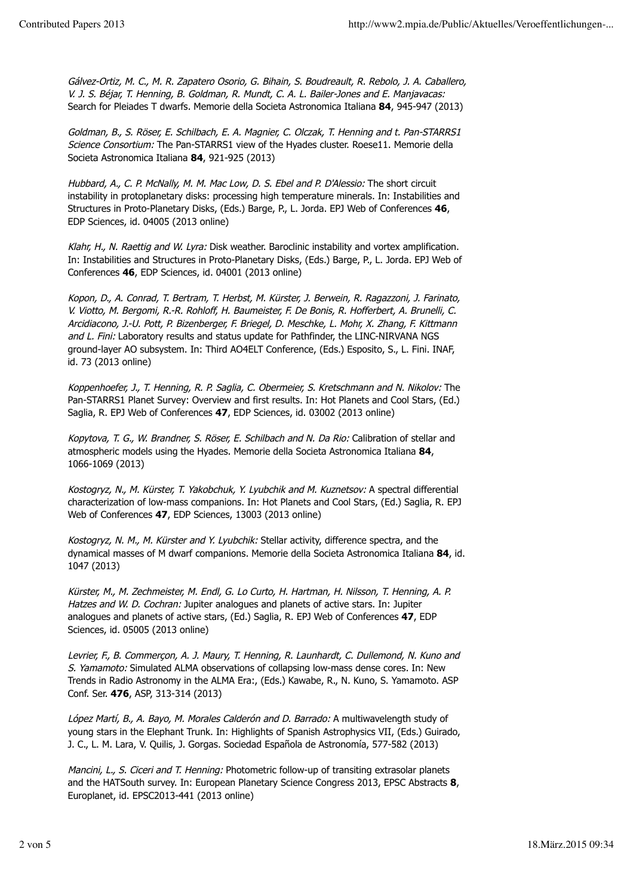Gálvez-Ortiz, M. C., M. R. Zapatero Osorio, G. Bihain, S. Boudreault, R. Rebolo, J. A. Caballero, V. J. S. Béjar, T. Henning, B. Goldman, R. Mundt, C. A. L. Bailer-Jones and E. Manjavacas: Search for Pleiades T dwarfs. Memorie della Societa Astronomica Italiana **84**, 945-947 (2013)

Goldman, B., S. Röser, E. Schilbach, E. A. Magnier, C. Olczak, T. Henning and t. Pan-STARRS1 Science Consortium: The Pan-STARRS1 view of the Hyades cluster. Roese11. Memorie della Societa Astronomica Italiana **84**, 921-925 (2013)

Hubbard, A., C. P. McNally, M. M. Mac Low, D. S. Ebel and P. D'Alessio: The short circuit instability in protoplanetary disks: processing high temperature minerals. In: Instabilities and Structures in Proto-Planetary Disks, (Eds.) Barge, P., L. Jorda. EPJ Web of Conferences **46**, EDP Sciences, id. 04005 (2013 online)

Klahr, H., N. Raettig and W. Lyra: Disk weather. Baroclinic instability and vortex amplification. In: Instabilities and Structures in Proto-Planetary Disks, (Eds.) Barge, P., L. Jorda. EPJ Web of Conferences **46**, EDP Sciences, id. 04001 (2013 online)

Kopon, D., A. Conrad, T. Bertram, T. Herbst, M. Kürster, J. Berwein, R. Ragazzoni, J. Farinato, V. Viotto, M. Bergomi, R.-R. Rohloff, H. Baumeister, F. De Bonis, R. Hofferbert, A. Brunelli, C. Arcidiacono, J.-U. Pott, P. Bizenberger, F. Briegel, D. Meschke, L. Mohr, X. Zhang, F. Kittmann and L. Fini: Laboratory results and status update for Pathfinder, the LINC-NIRVANA NGS ground-layer AO subsystem. In: Third AO4ELT Conference, (Eds.) Esposito, S., L. Fini. INAF, id. 73 (2013 online)

Koppenhoefer, J., T. Henning, R. P. Saglia, C. Obermeier, S. Kretschmann and N. Nikolov: The Pan-STARRS1 Planet Survey: Overview and first results. In: Hot Planets and Cool Stars, (Ed.) Saglia, R. EPJ Web of Conferences **47**, EDP Sciences, id. 03002 (2013 online)

Kopytova, T. G., W. Brandner, S. Röser, E. Schilbach and N. Da Rio: Calibration of stellar and atmospheric models using the Hyades. Memorie della Societa Astronomica Italiana **84**, 1066-1069 (2013)

Kostogryz, N., M. Kürster, T. Yakobchuk, Y. Lyubchik and M. Kuznetsov: A spectral differential characterization of low-mass companions. In: Hot Planets and Cool Stars, (Ed.) Saglia, R. EPJ Web of Conferences **47**, EDP Sciences, 13003 (2013 online)

Kostogryz, N. M., M. Kürster and Y. Lyubchik: Stellar activity, difference spectra, and the dynamical masses of M dwarf companions. Memorie della Societa Astronomica Italiana **84**, id. 1047 (2013)

Kürster, M., M. Zechmeister, M. Endl, G. Lo Curto, H. Hartman, H. Nilsson, T. Henning, A. P. Hatzes and W. D. Cochran: Jupiter analogues and planets of active stars. In: Jupiter analogues and planets of active stars, (Ed.) Saglia, R. EPJ Web of Conferences **47**, EDP Sciences, id. 05005 (2013 online)

Levrier, F., B. Commerçon, A. J. Maury, T. Henning, R. Launhardt, C. Dullemond, N. Kuno and S. Yamamoto: Simulated ALMA observations of collapsing low-mass dense cores. In: New Trends in Radio Astronomy in the ALMA Era:, (Eds.) Kawabe, R., N. Kuno, S. Yamamoto. ASP Conf. Ser. **476**, ASP, 313-314 (2013)

López Martí, B., A. Bayo, M. Morales Calderón and D. Barrado: A multiwavelength study of young stars in the Elephant Trunk. In: Highlights of Spanish Astrophysics VII, (Eds.) Guirado, J. C., L. M. Lara, V. Quilis, J. Gorgas. Sociedad Española de Astronomía, 577-582 (2013)

Mancini, L., S. Ciceri and T. Henning: Photometric follow-up of transiting extrasolar planets and the HATSouth survey. In: European Planetary Science Congress 2013, EPSC Abstracts **8**, Europlanet, id. EPSC2013-441 (2013 online)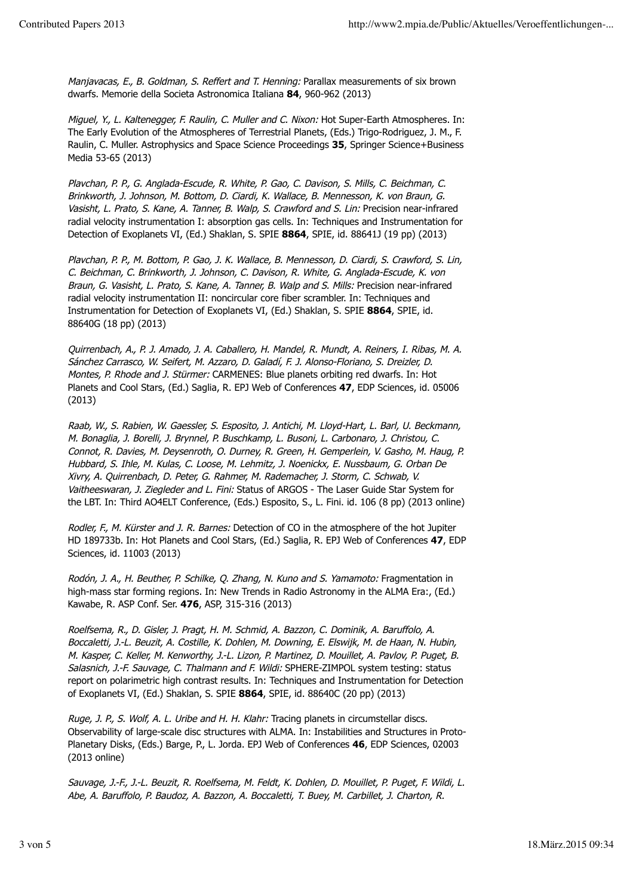Manjavacas, E., B. Goldman, S. Reffert and T. Henning: Parallax measurements of six brown dwarfs. Memorie della Societa Astronomica Italiana **84**, 960-962 (2013)

Miguel, Y., L. Kaltenegger, F. Raulin, C. Muller and C. Nixon: Hot Super-Earth Atmospheres. In: The Early Evolution of the Atmospheres of Terrestrial Planets, (Eds.) Trigo-Rodriguez, J. M., F. Raulin, C. Muller. Astrophysics and Space Science Proceedings **35**, Springer Science+Business Media 53-65 (2013)

Plavchan, P. P., G. Anglada-Escude, R. White, P. Gao, C. Davison, S. Mills, C. Beichman, C. Brinkworth, J. Johnson, M. Bottom, D. Ciardi, K. Wallace, B. Mennesson, K. von Braun, G. Vasisht, L. Prato, S. Kane, A. Tanner, B. Walp, S. Crawford and S. Lin: Precision near-infrared radial velocity instrumentation I: absorption gas cells. In: Techniques and Instrumentation for Detection of Exoplanets VI, (Ed.) Shaklan, S. SPIE **8864**, SPIE, id. 88641J (19 pp) (2013)

Plavchan, P. P., M. Bottom, P. Gao, J. K. Wallace, B. Mennesson, D. Ciardi, S. Crawford, S. Lin, C. Beichman, C. Brinkworth, J. Johnson, C. Davison, R. White, G. Anglada-Escude, K. von Braun, G. Vasisht, L. Prato, S. Kane, A. Tanner, B. Walp and S. Mills: Precision near-infrared radial velocity instrumentation II: noncircular core fiber scrambler. In: Techniques and Instrumentation for Detection of Exoplanets VI, (Ed.) Shaklan, S. SPIE **8864**, SPIE, id. 88640G (18 pp) (2013)

Quirrenbach, A., P. J. Amado, J. A. Caballero, H. Mandel, R. Mundt, A. Reiners, I. Ribas, M. A. Sánchez Carrasco, W. Seifert, M. Azzaro, D. Galadí, F. J. Alonso-Floriano, S. Dreizler, D. Montes, P. Rhode and J. Stürmer: CARMENES: Blue planets orbiting red dwarfs. In: Hot Planets and Cool Stars, (Ed.) Saglia, R. EPJ Web of Conferences **47**, EDP Sciences, id. 05006 (2013)

Raab, W., S. Rabien, W. Gaessler, S. Esposito, J. Antichi, M. Lloyd-Hart, L. Barl, U. Beckmann, M. Bonaglia, J. Borelli, J. Brynnel, P. Buschkamp, L. Busoni, L. Carbonaro, J. Christou, C. Connot, R. Davies, M. Deysenroth, O. Durney, R. Green, H. Gemperlein, V. Gasho, M. Haug, P. Hubbard, S. Ihle, M. Kulas, C. Loose, M. Lehmitz, J. Noenickx, E. Nussbaum, G. Orban De Xivry, A. Quirrenbach, D. Peter, G. Rahmer, M. Rademacher, J. Storm, C. Schwab, V. Vaitheeswaran, J. Ziegleder and L. Fini: Status of ARGOS - The Laser Guide Star System for the LBT. In: Third AO4ELT Conference, (Eds.) Esposito, S., L. Fini. id. 106 (8 pp) (2013 online)

Rodler, F., M. Kürster and J. R. Barnes: Detection of CO in the atmosphere of the hot Jupiter HD 189733b. In: Hot Planets and Cool Stars, (Ed.) Saglia, R. EPJ Web of Conferences **47**, EDP Sciences, id. 11003 (2013)

Rodón, J. A., H. Beuther, P. Schilke, Q. Zhang, N. Kuno and S. Yamamoto: Fragmentation in high-mass star forming regions. In: New Trends in Radio Astronomy in the ALMA Era:, (Ed.) Kawabe, R. ASP Conf. Ser. **476**, ASP, 315-316 (2013)

Roelfsema, R., D. Gisler, J. Pragt, H. M. Schmid, A. Bazzon, C. Dominik, A. Baruffolo, A. Boccaletti, J.-L. Beuzit, A. Costille, K. Dohlen, M. Downing, E. Elswijk, M. de Haan, N. Hubin, M. Kasper, C. Keller, M. Kenworthy, J.-L. Lizon, P. Martinez, D. Mouillet, A. Pavlov, P. Puget, B. Salasnich, J.-F. Sauvage, C. Thalmann and F. Wildi: SPHERE-ZIMPOL system testing: status report on polarimetric high contrast results. In: Techniques and Instrumentation for Detection of Exoplanets VI, (Ed.) Shaklan, S. SPIE **8864**, SPIE, id. 88640C (20 pp) (2013)

Ruge, J. P., S. Wolf, A. L. Uribe and H. H. Klahr: Tracing planets in circumstellar discs. Observability of large-scale disc structures with ALMA. In: Instabilities and Structures in Proto-Planetary Disks, (Eds.) Barge, P., L. Jorda. EPJ Web of Conferences **46**, EDP Sciences, 02003 (2013 online)

Sauvage, J.-F., J.-L. Beuzit, R. Roelfsema, M. Feldt, K. Dohlen, D. Mouillet, P. Puget, F. Wildi, L. Abe, A. Baruffolo, P. Baudoz, A. Bazzon, A. Boccaletti, T. Buey, M. Carbillet, J. Charton, R.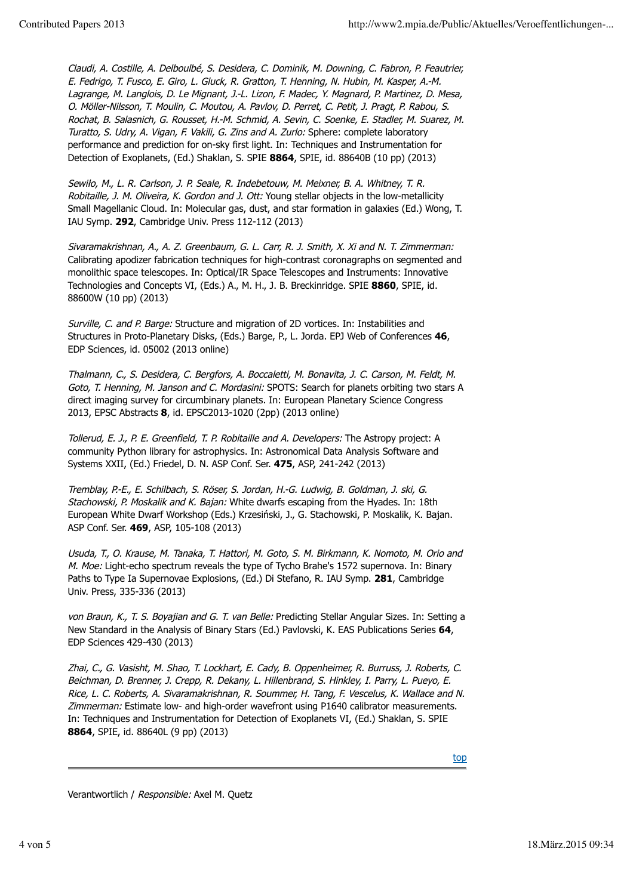Claudi, A. Costille, A. Delboulbé, S. Desidera, C. Dominik, M. Downing, C. Fabron, P. Feautrier, E. Fedrigo, T. Fusco, E. Giro, L. Gluck, R. Gratton, T. Henning, N. Hubin, M. Kasper, A.-M. Lagrange, M. Langlois, D. Le Mignant, J.-L. Lizon, F. Madec, Y. Magnard, P. Martinez, D. Mesa, O. Möller-Nilsson, T. Moulin, C. Moutou, A. Pavlov, D. Perret, C. Petit, J. Pragt, P. Rabou, S. Rochat, B. Salasnich, G. Rousset, H.-M. Schmid, A. Sevin, C. Soenke, E. Stadler, M. Suarez, M. Turatto, S. Udry, A. Vigan, F. Vakili, G. Zins and A. Zurlo: Sphere: complete laboratory performance and prediction for on-sky first light. In: Techniques and Instrumentation for Detection of Exoplanets, (Ed.) Shaklan, S. SPIE **8864**, SPIE, id. 88640B (10 pp) (2013)

Sewiło, M., L. R. Carlson, J. P. Seale, R. Indebetouw, M. Meixner, B. A. Whitney, T. R. Robitaille, J. M. Oliveira, K. Gordon and J. Ott: Young stellar objects in the low-metallicity Small Magellanic Cloud. In: Molecular gas, dust, and star formation in galaxies (Ed.) Wong, T. IAU Symp. **292**, Cambridge Univ. Press 112-112 (2013)

Sivaramakrishnan, A., A. Z. Greenbaum, G. L. Carr, R. J. Smith, X. Xi and N. T. Zimmerman: Calibrating apodizer fabrication techniques for high-contrast coronagraphs on segmented and monolithic space telescopes. In: Optical/IR Space Telescopes and Instruments: Innovative Technologies and Concepts VI, (Eds.) A., M. H., J. B. Breckinridge. SPIE **8860**, SPIE, id. 88600W (10 pp) (2013)

Surville, C. and P. Barge: Structure and migration of 2D vortices. In: Instabilities and Structures in Proto-Planetary Disks, (Eds.) Barge, P., L. Jorda. EPJ Web of Conferences **46**, EDP Sciences, id. 05002 (2013 online)

Thalmann, C., S. Desidera, C. Bergfors, A. Boccaletti, M. Bonavita, J. C. Carson, M. Feldt, M. Goto, T. Henning, M. Janson and C. Mordasini: SPOTS: Search for planets orbiting two stars A direct imaging survey for circumbinary planets. In: European Planetary Science Congress 2013, EPSC Abstracts **8**, id. EPSC2013-1020 (2pp) (2013 online)

Tollerud, E. J., P. E. Greenfield, T. P. Robitaille and A. Developers: The Astropy project: A community Python library for astrophysics. In: Astronomical Data Analysis Software and Systems XXII, (Ed.) Friedel, D. N. ASP Conf. Ser. **475**, ASP, 241-242 (2013)

Tremblay, P.-E., E. Schilbach, S. Röser, S. Jordan, H.-G. Ludwig, B. Goldman, J. ski, G. Stachowski, P. Moskalik and K. Bajan: White dwarfs escaping from the Hyades. In: 18th European White Dwarf Workshop (Eds.) Krzesiński, J., G. Stachowski, P. Moskalik, K. Bajan. ASP Conf. Ser. **469**, ASP, 105-108 (2013)

Usuda, T., O. Krause, M. Tanaka, T. Hattori, M. Goto, S. M. Birkmann, K. Nomoto, M. Orio and M. Moe: Light-echo spectrum reveals the type of Tycho Brahe's 1572 supernova. In: Binary Paths to Type Ia Supernovae Explosions, (Ed.) Di Stefano, R. IAU Symp. **281**, Cambridge Univ. Press, 335-336 (2013)

von Braun, K., T. S. Boyajian and G. T. van Belle: Predicting Stellar Angular Sizes. In: Setting a New Standard in the Analysis of Binary Stars (Ed.) Pavlovski, K. EAS Publications Series **64**, EDP Sciences 429-430 (2013)

Zhai, C., G. Vasisht, M. Shao, T. Lockhart, E. Cady, B. Oppenheimer, R. Burruss, J. Roberts, C. Beichman, D. Brenner, J. Crepp, R. Dekany, L. Hillenbrand, S. Hinkley, I. Parry, L. Pueyo, E. Rice, L. C. Roberts, A. Sivaramakrishnan, R. Soummer, H. Tang, F. Vescelus, K. Wallace and N. Zimmerman: Estimate low- and high-order wavefront using P1640 calibrator measurements. In: Techniques and Instrumentation for Detection of Exoplanets VI, (Ed.) Shaklan, S. SPIE **8864**, SPIE, id. 88640L (9 pp) (2013)

top

Verantwortlich / Responsible: Axel M. Quetz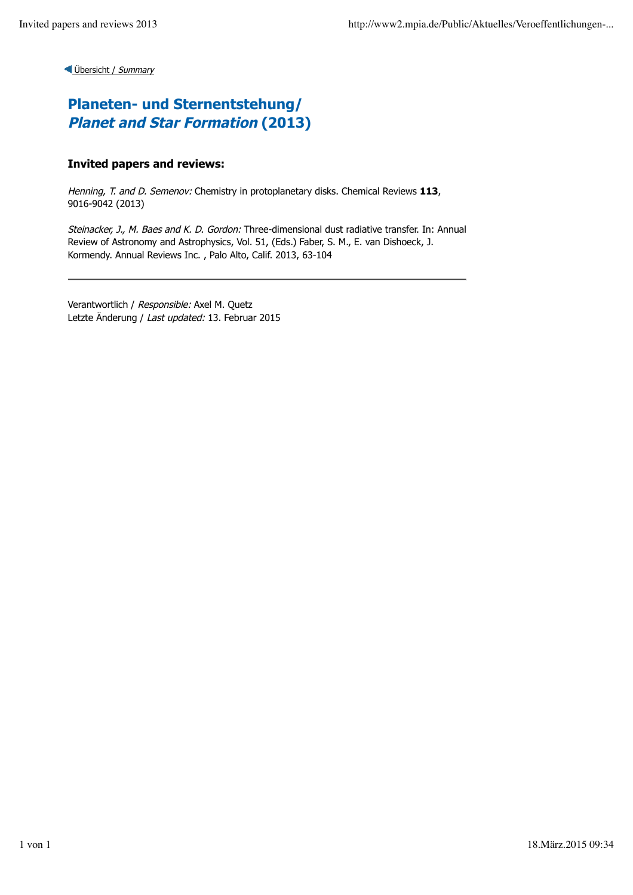## **Planeten- und Sternentstehung/ Planet and Star Formation (2013)**

### **Invited papers and reviews:**

Henning, T. and D. Semenov: Chemistry in protoplanetary disks. Chemical Reviews **113**, 9016-9042 (2013)

Steinacker, J., M. Baes and K. D. Gordon: Three-dimensional dust radiative transfer. In: Annual Review of Astronomy and Astrophysics, Vol. 51, (Eds.) Faber, S. M., E. van Dishoeck, J. Kormendy. Annual Reviews Inc. , Palo Alto, Calif. 2013, 63-104

Verantwortlich / Responsible: Axel M. Quetz Letzte Änderung / Last updated: 13. Februar 2015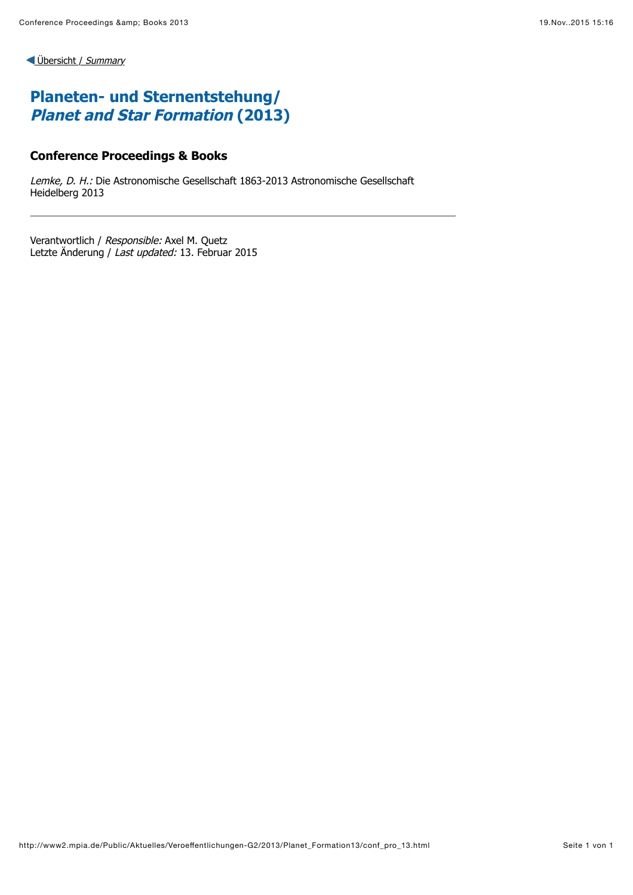# **Planeten- und Sternentstehung/ Planet and Star Formation (2013)**

#### **Conference Proceedings & Books**

Lemke, D. H.: Die Astronomische Gesellschaft 1863-2013 Astronomische Gesellschaft Heidelberg 2013

Verantwortlich / Responsible: Axel M. Quetz Letzte Änderung / Last updated: 13. Februar 2015